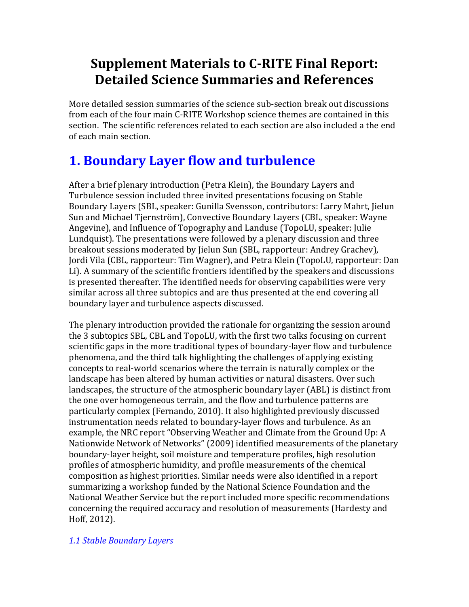# **Supplement Materials to C-RITE Final Report: Detailed Science Summaries and References**

More detailed session summaries of the science sub-section break out discussions from each of the four main C-RITE Workshop science themes are contained in this section. The scientific references related to each section are also included a the end of each main section.

# **1. Boundary Layer flow and turbulence**

After a brief plenary introduction (Petra Klein), the Boundary Layers and Turbulence session included three invited presentations focusing on Stable Boundary Layers (SBL, speaker: Gunilla Svensson, contributors: Larry Mahrt, Jielun Sun and Michael Tjernström), Convective Boundary Layers (CBL, speaker: Wayne Angevine), and Influence of Topography and Landuse (TopoLU, speaker: Julie Lundquist). The presentations were followed by a plenary discussion and three breakout sessions moderated by Jielun Sun (SBL, rapporteur: Andrey Grachev), Jordi Vila (CBL, rapporteur: Tim Wagner), and Petra Klein (TopoLU, rapporteur: Dan Li). A summary of the scientific frontiers identified by the speakers and discussions is presented thereafter. The identified needs for observing capabilities were very similar across all three subtopics and are thus presented at the end covering all boundary layer and turbulence aspects discussed.

The plenary introduction provided the rationale for organizing the session around the 3 subtopics SBL, CBL and TopoLU, with the first two talks focusing on current scientific gaps in the more traditional types of boundary-layer flow and turbulence phenomena, and the third talk highlighting the challenges of applying existing concepts to real-world scenarios where the terrain is naturally complex or the landscape has been altered by human activities or natural disasters. Over such landscapes, the structure of the atmospheric boundary layer (ABL) is distinct from the one over homogeneous terrain, and the flow and turbulence patterns are particularly complex (Fernando, 2010). It also highlighted previously discussed instrumentation needs related to boundary-layer flows and turbulence. As an example, the NRC report "Observing Weather and Climate from the Ground Up: A Nationwide Network of Networks" (2009) identified measurements of the planetary boundary-layer height, soil moisture and temperature profiles, high resolution profiles of atmospheric humidity, and profile measurements of the chemical composition as highest priorities. Similar needs were also identified in a report summarizing a workshop funded by the National Science Foundation and the National Weather Service but the report included more specific recommendations concerning the required accuracy and resolution of measurements (Hardesty and Hoff, 2012).

## *1.1 Stable Boundary Layers*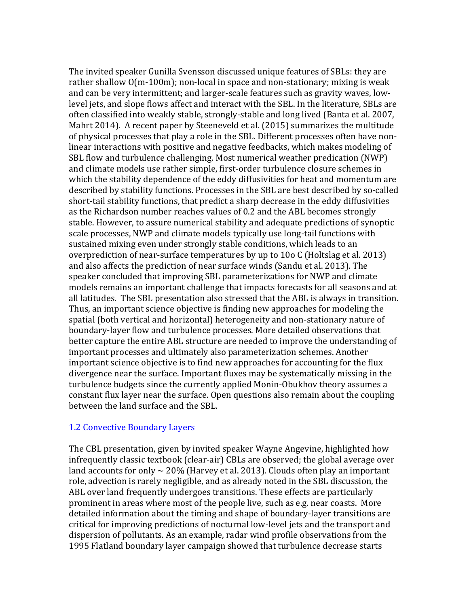The invited speaker Gunilla Svensson discussed unique features of SBLs: they are rather shallow  $O(m-100m)$ ; non-local in space and non-stationary; mixing is weak and can be very intermittent; and larger-scale features such as gravity waves, lowlevel jets, and slope flows affect and interact with the SBL. In the literature, SBLs are often classified into weakly stable, strongly-stable and long lived (Banta et al. 2007, Mahrt 2014). A recent paper by Steeneveld et al. (2015) summarizes the multitude of physical processes that play a role in the SBL. Different processes often have nonlinear interactions with positive and negative feedbacks, which makes modeling of SBL flow and turbulence challenging. Most numerical weather predication (NWP) and climate models use rather simple, first-order turbulence closure schemes in which the stability dependence of the eddy diffusivities for heat and momentum are described by stability functions. Processes in the SBL are best described by so-called short-tail stability functions, that predict a sharp decrease in the eddy diffusivities as the Richardson number reaches values of 0.2 and the ABL becomes strongly stable. However, to assure numerical stability and adequate predictions of synoptic scale processes, NWP and climate models typically use long-tail functions with sustained mixing even under strongly stable conditions, which leads to an overprediction of near-surface temperatures by up to 10o C (Holtslag et al. 2013) and also affects the prediction of near surface winds (Sandu et al. 2013). The speaker concluded that improving SBL parameterizations for NWP and climate models remains an important challenge that impacts forecasts for all seasons and at all latitudes. The SBL presentation also stressed that the ABL is always in transition. Thus, an important science objective is finding new approaches for modeling the spatial (both vertical and horizontal) heterogeneity and non-stationary nature of boundary-layer flow and turbulence processes. More detailed observations that better capture the entire ABL structure are needed to improve the understanding of important processes and ultimately also parameterization schemes. Another important science objective is to find new approaches for accounting for the flux divergence near the surface. Important fluxes may be systematically missing in the turbulence budgets since the currently applied Monin-Obukhov theory assumes a constant flux layer near the surface. Open questions also remain about the coupling between the land surface and the SBL.

### 1.2 Convective Boundary Layers

The CBL presentation, given by invited speaker Wayne Angevine, highlighted how infrequently classic textbook (clear-air) CBLs are observed; the global average over land accounts for only  $\sim$  20% (Harvey et al. 2013). Clouds often play an important role, advection is rarely negligible, and as already noted in the SBL discussion, the ABL over land frequently undergoes transitions. These effects are particularly prominent in areas where most of the people live, such as e.g. near coasts. More detailed information about the timing and shape of boundary-layer transitions are critical for improving predictions of nocturnal low-level jets and the transport and dispersion of pollutants. As an example, radar wind profile observations from the 1995 Flatland boundary layer campaign showed that turbulence decrease starts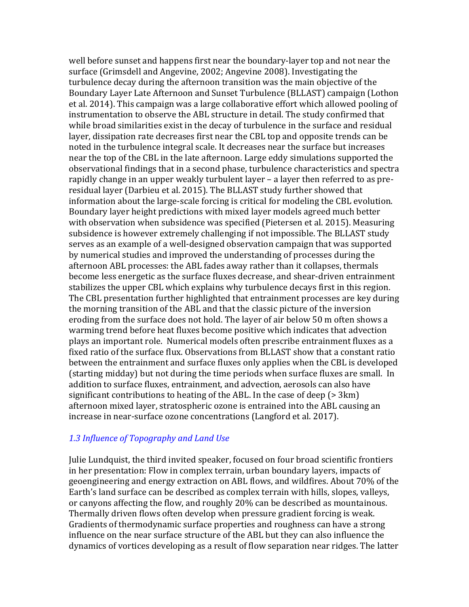well before sunset and happens first near the boundary-layer top and not near the surface (Grimsdell and Angevine, 2002; Angevine 2008). Investigating the turbulence decay during the afternoon transition was the main objective of the Boundary Layer Late Afternoon and Sunset Turbulence (BLLAST) campaign (Lothon et al. 2014). This campaign was a large collaborative effort which allowed pooling of instrumentation to observe the ABL structure in detail. The study confirmed that while broad similarities exist in the decay of turbulence in the surface and residual layer, dissipation rate decreases first near the CBL top and opposite trends can be noted in the turbulence integral scale. It decreases near the surface but increases near the top of the CBL in the late afternoon. Large eddy simulations supported the observational findings that in a second phase, turbulence characteristics and spectra rapidly change in an upper weakly turbulent layer – a layer then referred to as preresidual layer (Darbieu et al. 2015). The BLLAST study further showed that information about the large-scale forcing is critical for modeling the CBL evolution. Boundary layer height predictions with mixed layer models agreed much better with observation when subsidence was specified (Pietersen et al. 2015). Measuring subsidence is however extremely challenging if not impossible. The BLLAST study serves as an example of a well-designed observation campaign that was supported by numerical studies and improved the understanding of processes during the afternoon ABL processes: the ABL fades away rather than it collapses, thermals become less energetic as the surface fluxes decrease, and shear-driven entrainment stabilizes the upper CBL which explains why turbulence decays first in this region. The CBL presentation further highlighted that entrainment processes are key during the morning transition of the ABL and that the classic picture of the inversion eroding from the surface does not hold. The layer of air below 50 m often shows a warming trend before heat fluxes become positive which indicates that advection plays an important role. Numerical models often prescribe entrainment fluxes as a fixed ratio of the surface flux. Observations from BLLAST show that a constant ratio between the entrainment and surface fluxes only applies when the CBL is developed (starting midday) but not during the time periods when surface fluxes are small. In addition to surface fluxes, entrainment, and advection, aerosols can also have significant contributions to heating of the ABL. In the case of deep  $($  > 3km) afternoon mixed layer, stratospheric ozone is entrained into the ABL causing an increase in near-surface ozone concentrations (Langford et al. 2017).

### 1.3 Influence of Topography and Land Use

Julie Lundquist, the third invited speaker, focused on four broad scientific frontiers in her presentation: Flow in complex terrain, urban boundary layers, impacts of geoengineering and energy extraction on ABL flows, and wildfires. About 70% of the Earth's land surface can be described as complex terrain with hills, slopes, valleys, or canyons affecting the flow, and roughly 20% can be described as mountainous. Thermally driven flows often develop when pressure gradient forcing is weak. Gradients of thermodynamic surface properties and roughness can have a strong influence on the near surface structure of the ABL but they can also influence the dynamics of vortices developing as a result of flow separation near ridges. The latter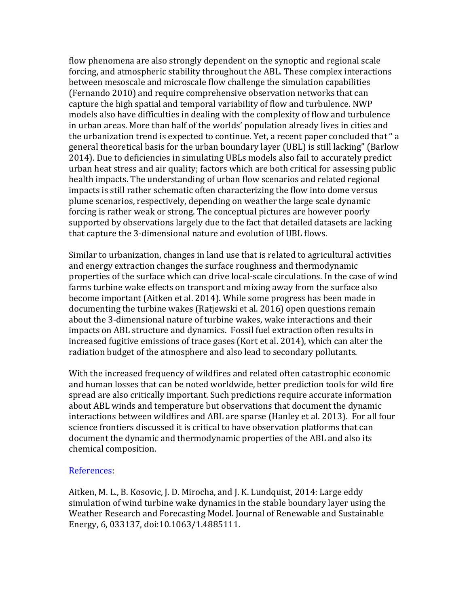flow phenomena are also strongly dependent on the synoptic and regional scale forcing, and atmospheric stability throughout the ABL. These complex interactions between mesoscale and microscale flow challenge the simulation capabilities (Fernando 2010) and require comprehensive observation networks that can capture the high spatial and temporal variability of flow and turbulence. NWP models also have difficulties in dealing with the complexity of flow and turbulence in urban areas. More than half of the worlds' population already lives in cities and the urbanization trend is expected to continue. Yet, a recent paper concluded that "a general theoretical basis for the urban boundary layer (UBL) is still lacking" (Barlow 2014). Due to deficiencies in simulating UBLs models also fail to accurately predict urban heat stress and air quality; factors which are both critical for assessing public health impacts. The understanding of urban flow scenarios and related regional impacts is still rather schematic often characterizing the flow into dome versus plume scenarios, respectively, depending on weather the large scale dynamic forcing is rather weak or strong. The conceptual pictures are however poorly supported by observations largely due to the fact that detailed datasets are lacking that capture the 3-dimensional nature and evolution of UBL flows.

Similar to urbanization, changes in land use that is related to agricultural activities and energy extraction changes the surface roughness and thermodynamic properties of the surface which can drive local-scale circulations. In the case of wind farms turbine wake effects on transport and mixing away from the surface also become important (Aitken et al. 2014). While some progress has been made in documenting the turbine wakes (Ratjewski et al. 2016) open questions remain about the 3-dimensional nature of turbine wakes, wake interactions and their impacts on ABL structure and dynamics. Fossil fuel extraction often results in increased fugitive emissions of trace gases (Kort et al. 2014), which can alter the radiation budget of the atmosphere and also lead to secondary pollutants.

With the increased frequency of wildfires and related often catastrophic economic and human losses that can be noted worldwide, better prediction tools for wild fire spread are also critically important. Such predictions require accurate information about ABL winds and temperature but observations that document the dynamic interactions between wildfires and ABL are sparse (Hanley et al. 2013). For all four science frontiers discussed it is critical to have observation platforms that can document the dynamic and thermodynamic properties of the ABL and also its chemical composition.

### References:

Aitken, M. L., B. Kosovic, J. D. Mirocha, and J. K. Lundquist, 2014: Large eddy simulation of wind turbine wake dynamics in the stable boundary layer using the Weather Research and Forecasting Model. Journal of Renewable and Sustainable Energy, 6, 033137, doi:10.1063/1.4885111.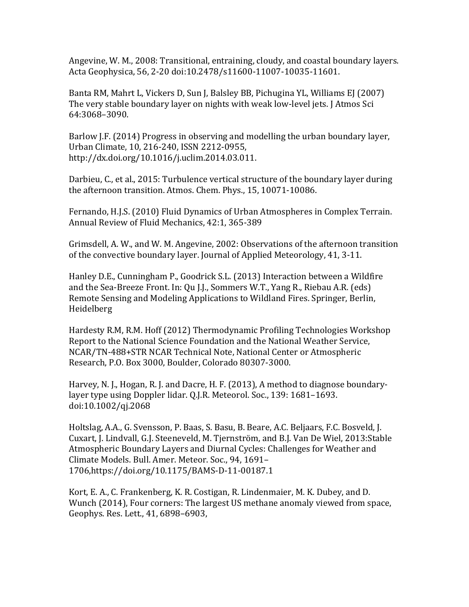Angevine, W. M., 2008: Transitional, entraining, cloudy, and coastal boundary layers. Acta Geophysica, 56, 2-20 doi:10.2478/s11600-11007-10035-11601.

Banta RM, Mahrt L, Vickers D, Sun J, Balsley BB, Pichugina YL, Williams EJ (2007) The very stable boundary layer on nights with weak low-level jets. J Atmos Sci 64:3068–3090.

Barlow J.F. (2014) Progress in observing and modelling the urban boundary layer, Urban Climate, 10, 216-240, ISSN 2212-0955, http://dx.doi.org/10.1016/j.uclim.2014.03.011.

Darbieu, C., et al., 2015: Turbulence vertical structure of the boundary layer during the afternoon transition. Atmos. Chem. Phys., 15, 10071-10086.

Fernando, H.J.S. (2010) Fluid Dynamics of Urban Atmospheres in Complex Terrain. Annual Review of Fluid Mechanics, 42:1, 365-389

Grimsdell, A. W., and W. M. Angevine, 2002: Observations of the afternoon transition of the convective boundary layer. Journal of Applied Meteorology, 41, 3-11.

Hanley D.E., Cunningham P., Goodrick S.L. (2013) Interaction between a Wildfire and the Sea-Breeze Front. In: Qu J.J., Sommers W.T., Yang R., Riebau A.R. (eds) Remote Sensing and Modeling Applications to Wildland Fires. Springer, Berlin, Heidelberg

Hardesty R.M, R.M. Hoff (2012) Thermodynamic Profiling Technologies Workshop Report to the National Science Foundation and the National Weather Service, NCAR/TN-488+STR NCAR Technical Note, National Center or Atmospheric Research, P.O. Box 3000, Boulder, Colorado 80307-3000.

Harvey, N. L., Hogan, R. J. and Dacre, H. F. (2013), A method to diagnose boundarylayer type using Doppler lidar. Q.J.R. Meteorol. Soc., 139: 1681-1693. doi:10.1002/qj.2068

Holtslag, A.A., G. Svensson, P. Baas, S. Basu, B. Beare, A.C. Beljaars, F.C. Bosveld, J. Cuxart, J. Lindvall, G.J. Steeneveld, M. Tjernström, and B.J. Van De Wiel, 2013:Stable Atmospheric Boundary Layers and Diurnal Cycles: Challenges for Weather and Climate Models. Bull. Amer. Meteor. Soc., 94, 1691-1706,https://doi.org/10.1175/BAMS-D-11-00187.1 

Kort, E. A., C. Frankenberg, K. R. Costigan, R. Lindenmaier, M. K. Dubey, and D. Wunch (2014), Four corners: The largest US methane anomaly viewed from space, Geophys. Res. Lett., 41, 6898–6903,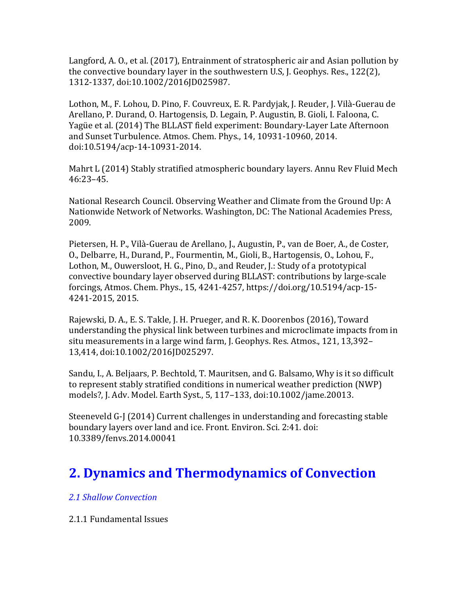Langford, A. O., et al. (2017), Entrainment of stratospheric air and Asian pollution by the convective boundary layer in the southwestern U.S, J. Geophys. Res., 122(2), 1312-1337, doi:10.1002/2016JD025987.

Lothon, M., F. Lohou, D. Pino, F. Couvreux, E. R. Pardyjak, J. Reuder, J. Vilà-Guerau de Arellano, P. Durand, O. Hartogensis, D. Legain, P. Augustin, B. Gioli, I. Faloona, C. Yagüe et al. (2014) The BLLAST field experiment: Boundary-Layer Late Afternoon and Sunset Turbulence. Atmos. Chem. Phys., 14, 10931-10960, 2014. doi:10.5194/acp-14-10931-2014.

Mahrt L (2014) Stably stratified atmospheric boundary layers. Annu Rev Fluid Mech 46:23–45.

National Research Council. Observing Weather and Climate from the Ground Up: A Nationwide Network of Networks. Washington, DC: The National Academies Press, 2009.

Pietersen, H. P., Vilà-Guerau de Arellano, J., Augustin, P., van de Boer, A., de Coster, O., Delbarre, H., Durand, P., Fourmentin, M., Gioli, B., Hartogensis, O., Lohou, F., Lothon, M., Ouwersloot, H. G., Pino, D., and Reuder, J.: Study of a prototypical convective boundary layer observed during BLLAST: contributions by large-scale forcings, Atmos. Chem. Phys., 15, 4241-4257, https://doi.org/10.5194/acp-15- 4241-2015, 2015.

Rajewski, D. A., E. S. Takle, J. H. Prueger, and R. K. Doorenbos (2016), Toward understanding the physical link between turbines and microclimate impacts from in situ measurements in a large wind farm, J. Geophys. Res. Atmos., 121, 13,392-13,414, doi:10.1002/2016JD025297.

Sandu, I., A. Beljaars, P. Bechtold, T. Mauritsen, and G. Balsamo, Why is it so difficult to represent stably stratified conditions in numerical weather prediction (NWP) models?, J. Adv. Model. Earth Syst., 5, 117-133, doi:10.1002/jame.20013.

Steeneveld G-J (2014) Current challenges in understanding and forecasting stable boundary layers over land and ice. Front. Environ. Sci. 2:41. doi: 10.3389/fenvs.2014.00041

# **2. Dynamics and Thermodynamics of Convection**

# *2.1 Shallow Convection*

2.1.1 Fundamental Issues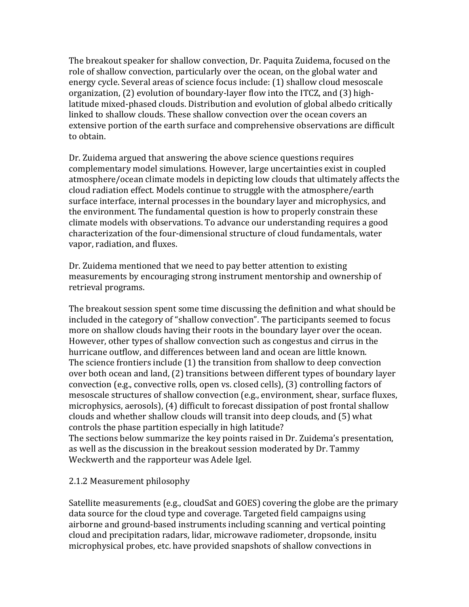The breakout speaker for shallow convection, Dr. Paquita Zuidema, focused on the role of shallow convection, particularly over the ocean, on the global water and energy cycle. Several areas of science focus include: (1) shallow cloud mesoscale organization, (2) evolution of boundary-layer flow into the ITCZ, and (3) highlatitude mixed-phased clouds. Distribution and evolution of global albedo critically linked to shallow clouds. These shallow convection over the ocean covers an extensive portion of the earth surface and comprehensive observations are difficult to obtain.

Dr. Zuidema argued that answering the above science questions requires complementary model simulations. However, large uncertainties exist in coupled atmosphere/ocean climate models in depicting low clouds that ultimately affects the cloud radiation effect. Models continue to struggle with the atmosphere/earth surface interface, internal processes in the boundary layer and microphysics, and the environment. The fundamental question is how to properly constrain these climate models with observations. To advance our understanding requires a good characterization of the four-dimensional structure of cloud fundamentals, water vapor, radiation, and fluxes.

Dr. Zuidema mentioned that we need to pay better attention to existing measurements by encouraging strong instrument mentorship and ownership of retrieval programs.

The breakout session spent some time discussing the definition and what should be included in the category of "shallow convection". The participants seemed to focus more on shallow clouds having their roots in the boundary layer over the ocean. However, other types of shallow convection such as congestus and cirrus in the hurricane outflow, and differences between land and ocean are little known. The science frontiers include  $(1)$  the transition from shallow to deep convection over both ocean and land, (2) transitions between different types of boundary layer convection  $(e.g., \text{convective rolls}, \text{open vs. closed cells}), (3)$  controlling factors of mesoscale structures of shallow convection (e.g., environment, shear, surface fluxes, microphysics, aerosols), (4) difficult to forecast dissipation of post frontal shallow clouds and whether shallow clouds will transit into deep clouds, and (5) what controls the phase partition especially in high latitude? The sections below summarize the key points raised in Dr. Zuidema's presentation, as well as the discussion in the breakout session moderated by Dr. Tammy Weckwerth and the rapporteur was Adele Igel.

## 2.1.2 Measurement philosophy

Satellite measurements  $(e.g., cloudSat and GOES)$  covering the globe are the primary data source for the cloud type and coverage. Targeted field campaigns using airborne and ground-based instruments including scanning and vertical pointing cloud and precipitation radars, lidar, microwave radiometer, dropsonde, insitu microphysical probes, etc. have provided snapshots of shallow convections in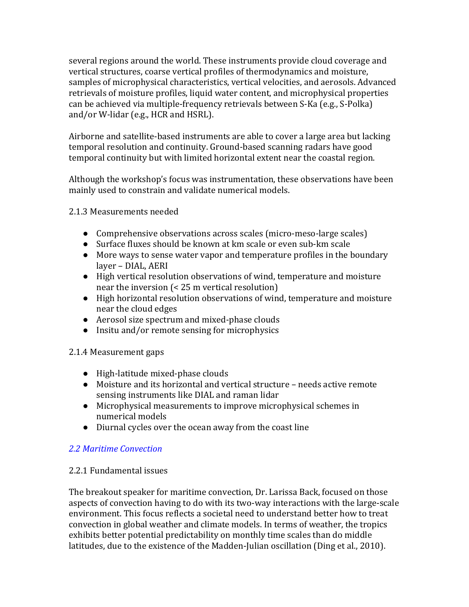several regions around the world. These instruments provide cloud coverage and vertical structures, coarse vertical profiles of thermodynamics and moisture, samples of microphysical characteristics, vertical velocities, and aerosols. Advanced retrievals of moisture profiles, liquid water content, and microphysical properties can be achieved via multiple-frequency retrievals between S-Ka (e.g., S-Polka) and/or W-lidar (e.g., HCR and HSRL).

Airborne and satellite-based instruments are able to cover a large area but lacking temporal resolution and continuity. Ground-based scanning radars have good temporal continuity but with limited horizontal extent near the coastal region.

Although the workshop's focus was instrumentation, these observations have been mainly used to constrain and validate numerical models.

2.1.3 Measurements needed

- Comprehensive observations across scales (micro-meso-large scales)
- Surface fluxes should be known at km scale or even sub-km scale
- More ways to sense water vapor and temperature profiles in the boundary layer - DIAL, AERI
- High vertical resolution observations of wind, temperature and moisture near the inversion  $\left($  < 25 m vertical resolution)
- High horizontal resolution observations of wind, temperature and moisture near the cloud edges
- Aerosol size spectrum and mixed-phase clouds
- Insitu and/or remote sensing for microphysics

## 2.1.4 Measurement gaps

- $\bullet$  High-latitude mixed-phase clouds
- Moisture and its horizontal and vertical structure needs active remote sensing instruments like DIAL and raman lidar
- Microphysical measurements to improve microphysical schemes in numerical models
- Diurnal cycles over the ocean away from the coast line

# *2.2 Maritime Convection*

## 2.2.1 Fundamental issues

The breakout speaker for maritime convection, Dr. Larissa Back, focused on those aspects of convection having to do with its two-way interactions with the large-scale environment. This focus reflects a societal need to understand better how to treat convection in global weather and climate models. In terms of weather, the tropics exhibits better potential predictability on monthly time scales than do middle latitudes, due to the existence of the Madden-Julian oscillation (Ding et al., 2010).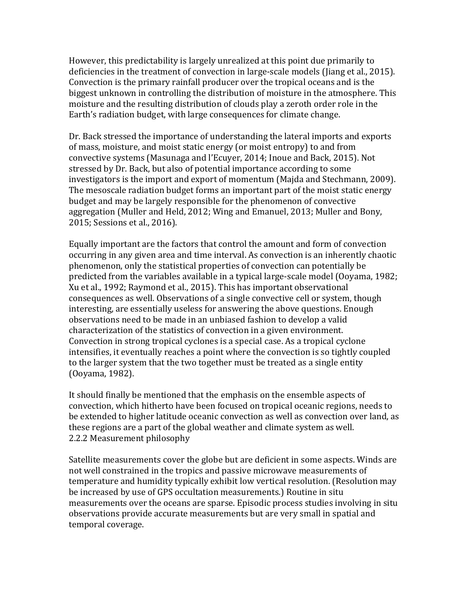However, this predictability is largely unrealized at this point due primarily to deficiencies in the treatment of convection in large-scale models (Jiang et al., 2015). Convection is the primary rainfall producer over the tropical oceans and is the biggest unknown in controlling the distribution of moisture in the atmosphere. This moisture and the resulting distribution of clouds play a zeroth order role in the Earth's radiation budget, with large consequences for climate change.

Dr. Back stressed the importance of understanding the lateral imports and exports of mass, moisture, and moist static energy (or moist entropy) to and from convective systems (Masunaga and l'Ecuyer, 2014; Inoue and Back, 2015). Not stressed by Dr. Back, but also of potential importance according to some investigators is the import and export of momentum (Majda and Stechmann, 2009). The mesoscale radiation budget forms an important part of the moist static energy budget and may be largely responsible for the phenomenon of convective aggregation (Muller and Held, 2012; Wing and Emanuel, 2013; Muller and Bony, 2015; Sessions et al., 2016).

Equally important are the factors that control the amount and form of convection occurring in any given area and time interval. As convection is an inherently chaotic phenomenon, only the statistical properties of convection can potentially be predicted from the variables available in a typical large-scale model (Ooyama, 1982; Xu et al., 1992; Raymond et al., 2015). This has important observational consequences as well. Observations of a single convective cell or system, though interesting, are essentially useless for answering the above questions. Enough observations need to be made in an unbiased fashion to develop a valid characterization of the statistics of convection in a given environment. Convection in strong tropical cyclones is a special case. As a tropical cyclone intensifies, it eventually reaches a point where the convection is so tightly coupled to the larger system that the two together must be treated as a single entity (Ooyama, 1982).

It should finally be mentioned that the emphasis on the ensemble aspects of convection, which hitherto have been focused on tropical oceanic regions, needs to be extended to higher latitude oceanic convection as well as convection over land, as these regions are a part of the global weather and climate system as well. 2.2.2 Measurement philosophy

Satellite measurements cover the globe but are deficient in some aspects. Winds are not well constrained in the tropics and passive microwave measurements of temperature and humidity typically exhibit low vertical resolution. (Resolution may be increased by use of GPS occultation measurements.) Routine in situ measurements over the oceans are sparse. Episodic process studies involving in situ observations provide accurate measurements but are very small in spatial and temporal coverage.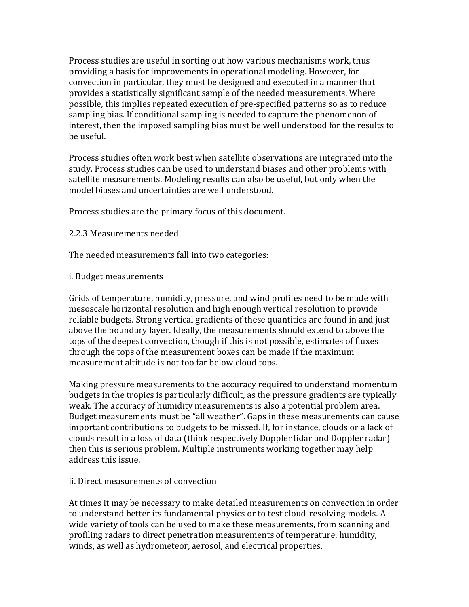Process studies are useful in sorting out how various mechanisms work, thus providing a basis for improvements in operational modeling. However, for convection in particular, they must be designed and executed in a manner that provides a statistically significant sample of the needed measurements. Where possible, this implies repeated execution of pre-specified patterns so as to reduce sampling bias. If conditional sampling is needed to capture the phenomenon of interest, then the imposed sampling bias must be well understood for the results to be useful.

Process studies often work best when satellite observations are integrated into the study. Process studies can be used to understand biases and other problems with satellite measurements. Modeling results can also be useful, but only when the model biases and uncertainties are well understood.

Process studies are the primary focus of this document.

### 2.2.3 Measurements needed

The needed measurements fall into two categories:

### i. Budget measurements

Grids of temperature, humidity, pressure, and wind profiles need to be made with mesoscale horizontal resolution and high enough vertical resolution to provide reliable budgets. Strong vertical gradients of these quantities are found in and iust above the boundary layer. Ideally, the measurements should extend to above the tops of the deepest convection, though if this is not possible, estimates of fluxes through the tops of the measurement boxes can be made if the maximum measurement altitude is not too far below cloud tops.

Making pressure measurements to the accuracy required to understand momentum budgets in the tropics is particularly difficult, as the pressure gradients are typically weak. The accuracy of humidity measurements is also a potential problem area. Budget measurements must be "all weather". Gaps in these measurements can cause important contributions to budgets to be missed. If, for instance, clouds or a lack of clouds result in a loss of data (think respectively Doppler lidar and Doppler radar) then this is serious problem. Multiple instruments working together may help address this issue.

### ii. Direct measurements of convection

At times it may be necessary to make detailed measurements on convection in order to understand better its fundamental physics or to test cloud-resolving models. A wide variety of tools can be used to make these measurements, from scanning and profiling radars to direct penetration measurements of temperature, humidity, winds, as well as hydrometeor, aerosol, and electrical properties.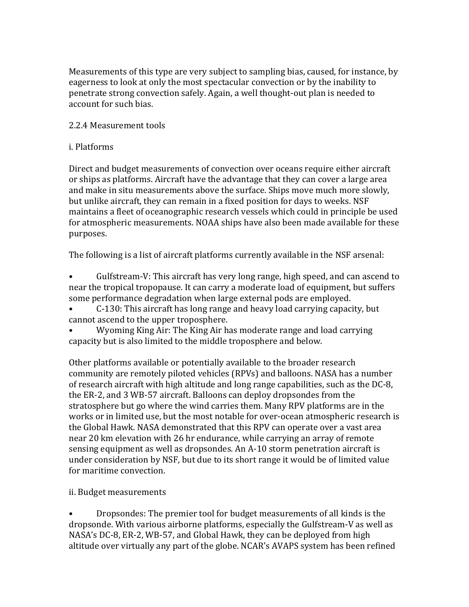Measurements of this type are very subject to sampling bias, caused, for instance, by eagerness to look at only the most spectacular convection or by the inability to penetrate strong convection safely. Again, a well thought-out plan is needed to account for such bias.

## 2.2.4 Measurement tools

## i. Platforms

Direct and budget measurements of convection over oceans require either aircraft or ships as platforms. Aircraft have the advantage that they can cover a large area and make in situ measurements above the surface. Ships move much more slowly, but unlike aircraft, they can remain in a fixed position for days to weeks. NSF maintains a fleet of oceanographic research vessels which could in principle be used for atmospheric measurements. NOAA ships have also been made available for these purposes.

The following is a list of aircraft platforms currently available in the NSF arsenal:

• Gulfstream-V: This aircraft has very long range, high speed, and can ascend to near the tropical tropopause. It can carry a moderate load of equipment, but suffers some performance degradation when large external pods are employed.

C-130: This aircraft has long range and heavy load carrying capacity, but cannot ascend to the upper troposphere.

Wyoming King Air: The King Air has moderate range and load carrying capacity but is also limited to the middle troposphere and below.

Other platforms available or potentially available to the broader research community are remotely piloted vehicles (RPVs) and balloons. NASA has a number of research aircraft with high altitude and long range capabilities, such as the  $DC-8$ . the ER-2, and 3 WB-57 aircraft. Balloons can deploy dropsondes from the stratosphere but go where the wind carries them. Many RPV platforms are in the works or in limited use, but the most notable for over-ocean atmospheric research is the Global Hawk. NASA demonstrated that this RPV can operate over a vast area near 20 km elevation with 26 hr endurance, while carrying an array of remote sensing equipment as well as dropsondes. An A-10 storm penetration aircraft is under consideration by NSF, but due to its short range it would be of limited value for maritime convection.

## ii. Budget measurements

Dropsondes: The premier tool for budget measurements of all kinds is the dropsonde. With various airborne platforms, especially the Gulfstream-V as well as NASA's DC-8, ER-2, WB-57, and Global Hawk, they can be deployed from high altitude over virtually any part of the globe. NCAR's AVAPS system has been refined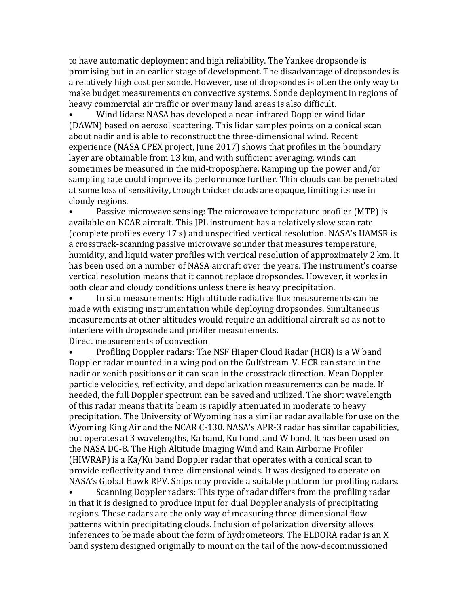to have automatic deployment and high reliability. The Yankee dropsonde is promising but in an earlier stage of development. The disadvantage of dropsondes is a relatively high cost per sonde. However, use of dropsondes is often the only way to make budget measurements on convective systems. Sonde deployment in regions of heavy commercial air traffic or over many land areas is also difficult.

Wind lidars: NASA has developed a near-infrared Doppler wind lidar (DAWN) based on aerosol scattering. This lidar samples points on a conical scan about nadir and is able to reconstruct the three-dimensional wind. Recent experience (NASA CPEX project, June 2017) shows that profiles in the boundary layer are obtainable from 13 km, and with sufficient averaging, winds can sometimes be measured in the mid-troposphere. Ramping up the power and/or sampling rate could improve its performance further. Thin clouds can be penetrated at some loss of sensitivity, though thicker clouds are opaque, limiting its use in cloudy regions.

Passive microwave sensing: The microwave temperature profiler (MTP) is available on NCAR aircraft. This JPL instrument has a relatively slow scan rate (complete profiles every 17 s) and unspecified vertical resolution. NASA's HAMSR is a crosstrack-scanning passive microwave sounder that measures temperature, humidity, and liquid water profiles with vertical resolution of approximately 2 km. It has been used on a number of NASA aircraft over the years. The instrument's coarse vertical resolution means that it cannot replace dropsondes. However, it works in both clear and cloudy conditions unless there is heavy precipitation.

• In situ measurements: High altitude radiative flux measurements can be made with existing instrumentation while deploying dropsondes. Simultaneous measurements at other altitudes would require an additional aircraft so as not to interfere with dropsonde and profiler measurements.

Direct measurements of convection

Profiling Doppler radars: The NSF Hiaper Cloud Radar (HCR) is a W band Doppler radar mounted in a wing pod on the Gulfstream-V. HCR can stare in the nadir or zenith positions or it can scan in the crosstrack direction. Mean Doppler particle velocities, reflectivity, and depolarization measurements can be made. If needed, the full Doppler spectrum can be saved and utilized. The short wavelength of this radar means that its beam is rapidly attenuated in moderate to heavy precipitation. The University of Wyoming has a similar radar available for use on the Wyoming King Air and the NCAR C-130. NASA's APR-3 radar has similar capabilities, but operates at 3 wavelengths, Ka band, Ku band, and W band. It has been used on the NASA DC-8. The High Altitude Imaging Wind and Rain Airborne Profiler (HIWRAP) is a Ka/Ku band Doppler radar that operates with a conical scan to provide reflectivity and three-dimensional winds. It was designed to operate on NASA's Global Hawk RPV. Ships may provide a suitable platform for profiling radars.

Scanning Doppler radars: This type of radar differs from the profiling radar in that it is designed to produce input for dual Doppler analysis of precipitating regions. These radars are the only way of measuring three-dimensional flow patterns within precipitating clouds. Inclusion of polarization diversity allows inferences to be made about the form of hydrometeors. The ELDORA radar is an X band system designed originally to mount on the tail of the now-decommissioned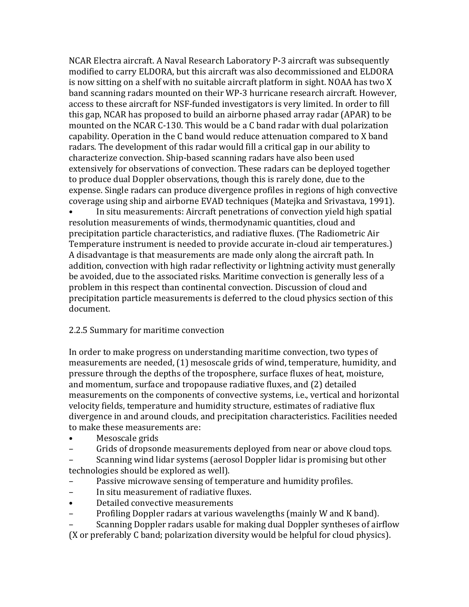NCAR Electra aircraft. A Naval Research Laboratory P-3 aircraft was subsequently modified to carry ELDORA, but this aircraft was also decommissioned and ELDORA is now sitting on a shelf with no suitable aircraft platform in sight. NOAA has two  $X$ band scanning radars mounted on their WP-3 hurricane research aircraft. However, access to these aircraft for NSF-funded investigators is very limited. In order to fill this gap, NCAR has proposed to build an airborne phased array radar (APAR) to be mounted on the NCAR C-130. This would be a C band radar with dual polarization capability. Operation in the C band would reduce attenuation compared to X band radars. The development of this radar would fill a critical gap in our ability to characterize convection. Ship-based scanning radars have also been used extensively for observations of convection. These radars can be deployed together to produce dual Doppler observations, though this is rarely done, due to the expense. Single radars can produce divergence profiles in regions of high convective coverage using ship and airborne EVAD techniques (Matejka and Srivastava, 1991).

In situ measurements: Aircraft penetrations of convection yield high spatial resolution measurements of winds, thermodynamic quantities, cloud and precipitation particle characteristics, and radiative fluxes. (The Radiometric Air Temperature instrument is needed to provide accurate in-cloud air temperatures.) A disadvantage is that measurements are made only along the aircraft path. In addition, convection with high radar reflectivity or lightning activity must generally be avoided, due to the associated risks. Maritime convection is generally less of a problem in this respect than continental convection. Discussion of cloud and precipitation particle measurements is deferred to the cloud physics section of this document.

## 2.2.5 Summary for maritime convection

In order to make progress on understanding maritime convection, two types of measurements are needed, (1) mesoscale grids of wind, temperature, humidity, and pressure through the depths of the troposphere, surface fluxes of heat, moisture, and momentum, surface and tropopause radiative fluxes, and (2) detailed measurements on the components of convective systems, i.e., vertical and horizontal velocity fields, temperature and humidity structure, estimates of radiative flux divergence in and around clouds, and precipitation characteristics. Facilities needed to make these measurements are:

- Mesoscale grids
- Grids of dropsonde measurements deployed from near or above cloud tops.

Scanning wind lidar systems (aerosol Doppler lidar is promising but other technologies should be explored as well).

- Passive microwave sensing of temperature and humidity profiles.
- In situ measurement of radiative fluxes.
- Detailed convective measurements
- Profiling Doppler radars at various wavelengths (mainly W and K band).
- Scanning Doppler radars usable for making dual Doppler syntheses of airflow

(X or preferably C band; polarization diversity would be helpful for cloud physics).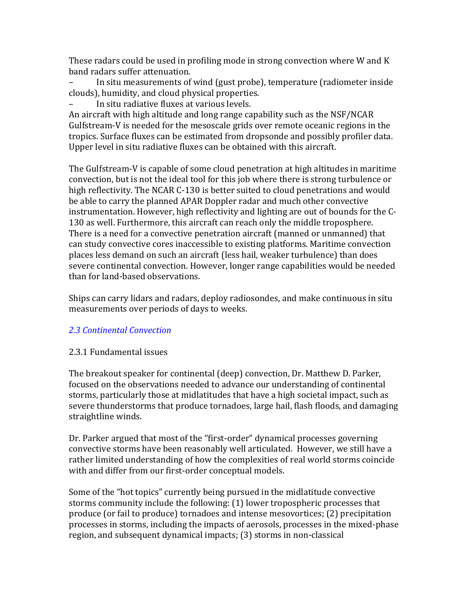These radars could be used in profiling mode in strong convection where W and K band radars suffer attenuation.

- In situ measurements of wind (gust probe), temperature (radiometer inside clouds), humidity, and cloud physical properties.

In situ radiative fluxes at various levels.

An aircraft with high altitude and long range capability such as the NSF/NCAR Gulfstream-V is needed for the mesoscale grids over remote oceanic regions in the tropics. Surface fluxes can be estimated from dropsonde and possibly profiler data. Upper level in situ radiative fluxes can be obtained with this aircraft.

The Gulfstream-V is capable of some cloud penetration at high altitudes in maritime convection, but is not the ideal tool for this job where there is strong turbulence or high reflectivity. The NCAR C-130 is better suited to cloud penetrations and would be able to carry the planned APAR Doppler radar and much other convective instrumentation. However, high reflectivity and lighting are out of bounds for the C-130 as well. Furthermore, this aircraft can reach only the middle troposphere. There is a need for a convective penetration aircraft (manned or unmanned) that can study convective cores inaccessible to existing platforms. Maritime convection places less demand on such an aircraft (less hail, weaker turbulence) than does severe continental convection. However, longer range capabilities would be needed than for land-based observations.

Ships can carry lidars and radars, deploy radiosondes, and make continuous in situ measurements over periods of days to weeks.

# *2.3 Continental Convection*

## 2.3.1 Fundamental issues

The breakout speaker for continental (deep) convection, Dr. Matthew D. Parker, focused on the observations needed to advance our understanding of continental storms, particularly those at midlatitudes that have a high societal impact, such as severe thunderstorms that produce tornadoes, large hail, flash floods, and damaging straightline winds.

Dr. Parker argued that most of the "first-order" dynamical processes governing convective storms have been reasonably well articulated. However, we still have a rather limited understanding of how the complexities of real world storms coincide with and differ from our first-order conceptual models.

Some of the "hot topics" currently being pursued in the midlatitude convective storms community include the following: (1) lower tropospheric processes that produce (or fail to produce) tornadoes and intense mesovortices; (2) precipitation processes in storms, including the impacts of aerosols, processes in the mixed-phase region, and subsequent dynamical impacts; (3) storms in non-classical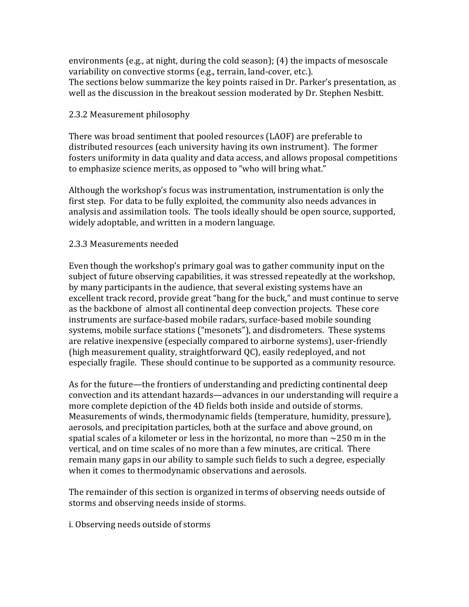environments  $(e.g., at night, during the cold season); (4) the impacts of mesoscale$ variability on convective storms (e.g., terrain, land-cover, etc.). The sections below summarize the key points raised in Dr. Parker's presentation, as well as the discussion in the breakout session moderated by Dr. Stephen Nesbitt.

### 2.3.2 Measurement philosophy

There was broad sentiment that pooled resources (LAOF) are preferable to distributed resources (each university having its own instrument). The former fosters uniformity in data quality and data access, and allows proposal competitions to emphasize science merits, as opposed to "who will bring what."

Although the workshop's focus was instrumentation, instrumentation is only the first step. For data to be fully exploited, the community also needs advances in analysis and assimilation tools. The tools ideally should be open source, supported, widely adoptable, and written in a modern language.

### 2.3.3 Measurements needed

Even though the workshop's primary goal was to gather community input on the subject of future observing capabilities, it was stressed repeatedly at the workshop, by many participants in the audience, that several existing systems have an excellent track record, provide great "bang for the buck," and must continue to serve as the backbone of almost all continental deep convection projects. These core instruments are surface-based mobile radars, surface-based mobile sounding systems, mobile surface stations ("mesonets"), and disdrometers. These systems are relative inexpensive (especially compared to airborne systems), user-friendly (high measurement quality, straightforward  $QC$ ), easily redeployed, and not especially fragile. These should continue to be supported as a community resource.

As for the future—the frontiers of understanding and predicting continental deep convection and its attendant hazards—advances in our understanding will require a more complete depiction of the 4D fields both inside and outside of storms. Measurements of winds, thermodynamic fields (temperature, humidity, pressure), aerosols, and precipitation particles, both at the surface and above ground, on spatial scales of a kilometer or less in the horizontal, no more than  $\sim$ 250 m in the vertical, and on time scales of no more than a few minutes, are critical. There remain many gaps in our ability to sample such fields to such a degree, especially when it comes to thermodynamic observations and aerosols.

The remainder of this section is organized in terms of observing needs outside of storms and observing needs inside of storms.

i. Observing needs outside of storms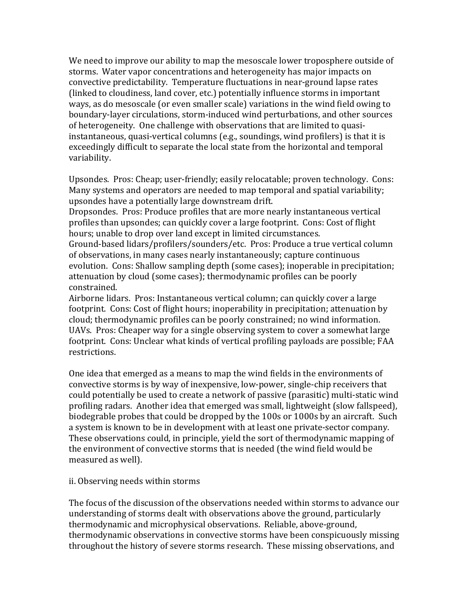We need to improve our ability to map the mesoscale lower troposphere outside of storms. Water vapor concentrations and heterogeneity has major impacts on convective predictability. Temperature fluctuations in near-ground lapse rates (linked to cloudiness, land cover, etc.) potentially influence storms in important ways, as do mesoscale (or even smaller scale) variations in the wind field owing to boundary-layer circulations, storm-induced wind perturbations, and other sources of heterogeneity. One challenge with observations that are limited to quasiinstantaneous, quasi-vertical columns (e.g., soundings, wind profilers) is that it is exceedingly difficult to separate the local state from the horizontal and temporal variability. 

Upsondes. Pros: Cheap; user-friendly; easily relocatable; proven technology. Cons: Many systems and operators are needed to map temporal and spatial variability; upsondes have a potentially large downstream drift.

Dropsondes. Pros: Produce profiles that are more nearly instantaneous vertical profiles than upsondes; can quickly cover a large footprint. Cons: Cost of flight hours; unable to drop over land except in limited circumstances.

Ground-based lidars/profilers/sounders/etc. Pros: Produce a true vertical column of observations, in many cases nearly instantaneously; capture continuous evolution. Cons: Shallow sampling depth (some cases); inoperable in precipitation; attenuation by cloud (some cases); thermodynamic profiles can be poorly constrained.

Airborne lidars. Pros: Instantaneous vertical column; can quickly cover a large footprint. Cons: Cost of flight hours; inoperability in precipitation; attenuation by cloud; thermodynamic profiles can be poorly constrained; no wind information. UAVs. Pros: Cheaper way for a single observing system to cover a somewhat large footprint. Cons: Unclear what kinds of vertical profiling payloads are possible; FAA restrictions.

One idea that emerged as a means to map the wind fields in the environments of convective storms is by way of inexpensive, low-power, single-chip receivers that could potentially be used to create a network of passive (parasitic) multi-static wind profiling radars. Another idea that emerged was small, lightweight (slow fallspeed), biodegrable probes that could be dropped by the 100s or 1000s by an aircraft. Such a system is known to be in development with at least one private-sector company. These observations could, in principle, yield the sort of thermodynamic mapping of the environment of convective storms that is needed (the wind field would be measured as well).

### ii. Observing needs within storms

The focus of the discussion of the observations needed within storms to advance our understanding of storms dealt with observations above the ground, particularly thermodynamic and microphysical observations. Reliable, above-ground, thermodynamic observations in convective storms have been conspicuously missing throughout the history of severe storms research. These missing observations, and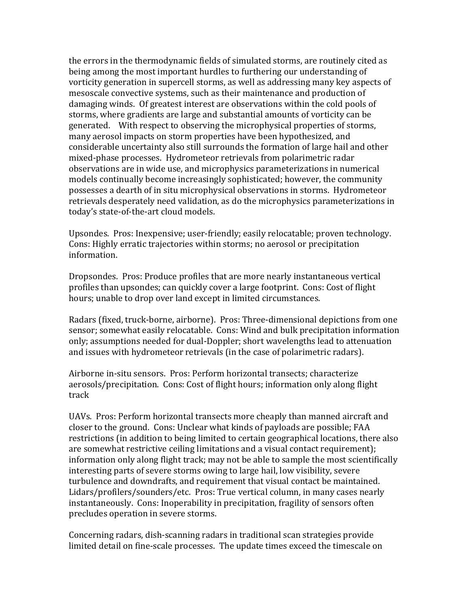the errors in the thermodynamic fields of simulated storms, are routinely cited as being among the most important hurdles to furthering our understanding of vorticity generation in supercell storms, as well as addressing many key aspects of mesoscale convective systems, such as their maintenance and production of damaging winds. Of greatest interest are observations within the cold pools of storms, where gradients are large and substantial amounts of vorticity can be generated. With respect to observing the microphysical properties of storms, many aerosol impacts on storm properties have been hypothesized, and considerable uncertainty also still surrounds the formation of large hail and other mixed-phase processes. Hydrometeor retrievals from polarimetric radar observations are in wide use, and microphysics parameterizations in numerical models continually become increasingly sophisticated; however, the community possesses a dearth of in situ microphysical observations in storms. Hydrometeor retrievals desperately need validation, as do the microphysics parameterizations in today's state-of-the-art cloud models.

Upsondes. Pros: Inexpensive; user-friendly; easily relocatable; proven technology. Cons: Highly erratic trajectories within storms; no aerosol or precipitation information.

Dropsondes. Pros: Produce profiles that are more nearly instantaneous vertical profiles than upsondes; can quickly cover a large footprint. Cons: Cost of flight hours; unable to drop over land except in limited circumstances.

Radars (fixed, truck-borne, airborne). Pros: Three-dimensional depictions from one sensor; somewhat easily relocatable. Cons: Wind and bulk precipitation information only; assumptions needed for dual-Doppler; short wavelengths lead to attenuation and issues with hydrometeor retrievals (in the case of polarimetric radars).

Airborne in-situ sensors. Pros: Perform horizontal transects: characterize aerosols/precipitation. Cons: Cost of flight hours; information only along flight track

UAVs. Pros: Perform horizontal transects more cheaply than manned aircraft and closer to the ground. Cons: Unclear what kinds of payloads are possible; FAA restrictions (in addition to being limited to certain geographical locations, there also are somewhat restrictive ceiling limitations and a visual contact requirement); information only along flight track; may not be able to sample the most scientifically interesting parts of severe storms owing to large hail, low visibility, severe turbulence and downdrafts, and requirement that visual contact be maintained. Lidars/profilers/sounders/etc. Pros: True vertical column, in many cases nearly instantaneously. Cons: Inoperability in precipitation, fragility of sensors often precludes operation in severe storms.

Concerning radars, dish-scanning radars in traditional scan strategies provide limited detail on fine-scale processes. The update times exceed the timescale on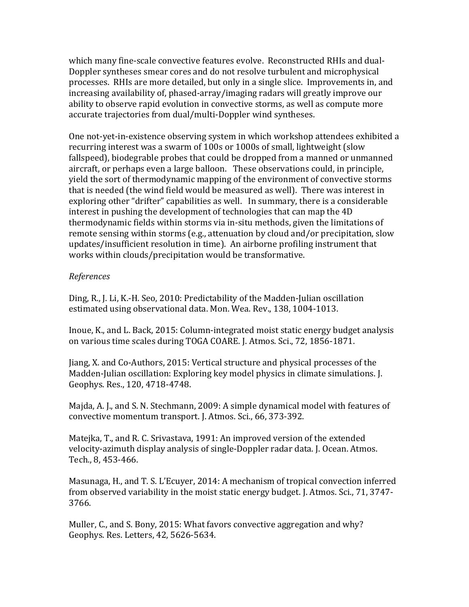which many fine-scale convective features evolve. Reconstructed RHIs and dual-Doppler syntheses smear cores and do not resolve turbulent and microphysical processes. RHIs are more detailed, but only in a single slice. Improvements in, and increasing availability of, phased-array/imaging radars will greatly improve our ability to observe rapid evolution in convective storms, as well as compute more accurate trajectories from dual/multi-Doppler wind syntheses.

One not-yet-in-existence observing system in which workshop attendees exhibited a recurring interest was a swarm of 100s or 1000s of small, lightweight (slow fallspeed), biodegrable probes that could be dropped from a manned or unmanned aircraft, or perhaps even a large balloon. These observations could, in principle, yield the sort of thermodynamic mapping of the environment of convective storms that is needed (the wind field would be measured as well). There was interest in exploring other "drifter" capabilities as well. In summary, there is a considerable interest in pushing the development of technologies that can map the 4D thermodynamic fields within storms via in-situ methods, given the limitations of remote sensing within storms (e.g., attenuation by cloud and/or precipitation, slow updates/insufficient resolution in time). An airborne profiling instrument that works within clouds/precipitation would be transformative.

## *References*

Ding, R., J. Li, K.-H. Seo, 2010: Predictability of the Madden-Julian oscillation estimated using observational data. Mon. Wea. Rev., 138, 1004-1013.

Inoue, K., and L. Back, 2015: Column-integrated moist static energy budget analysis on various time scales during TOGA COARE. J. Atmos. Sci., 72, 1856-1871.

Jiang, X. and Co-Authors, 2015: Vertical structure and physical processes of the Madden-Julian oscillation: Exploring key model physics in climate simulations. J. Geophys. Res., 120, 4718-4748.

Majda, A. J., and S. N. Stechmann, 2009: A simple dynamical model with features of convective momentum transport. J. Atmos. Sci., 66, 373-392.

Matejka, T., and R. C. Srivastava, 1991: An improved version of the extended velocity-azimuth display analysis of single-Doppler radar data. J. Ocean. Atmos. Tech., 8, 453-466.

Masunaga, H., and T. S. L'Ecuver, 2014: A mechanism of tropical convection inferred from observed variability in the moist static energy budget. J. Atmos. Sci., 71, 3747-3766.

Muller, C., and S. Bony, 2015: What favors convective aggregation and why? Geophys. Res. Letters, 42, 5626-5634.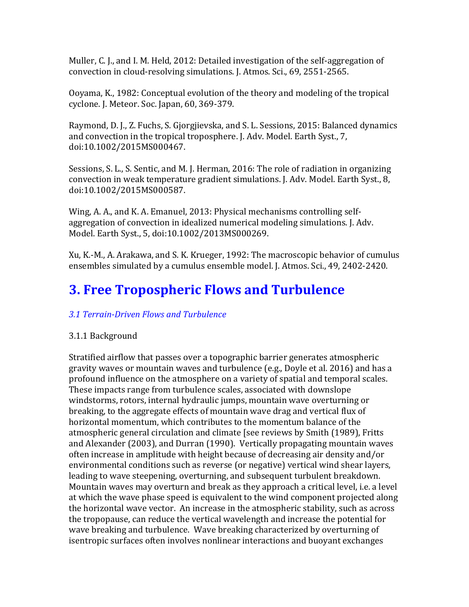Muller, C. J., and I. M. Held, 2012: Detailed investigation of the self-aggregation of convection in cloud-resolving simulations. J. Atmos. Sci., 69, 2551-2565.

Ooyama, K., 1982: Conceptual evolution of the theory and modeling of the tropical cyclone. J. Meteor. Soc. Japan, 60, 369-379.

Raymond, D. J., Z. Fuchs, S. Gjorgjievska, and S. L. Sessions, 2015: Balanced dynamics and convection in the tropical troposphere. J. Adv. Model. Earth Syst., 7, doi:10.1002/2015MS000467.

Sessions, S. L., S. Sentic, and M. J. Herman, 2016: The role of radiation in organizing convection in weak temperature gradient simulations. J. Adv. Model. Earth Syst., 8, doi:10.1002/2015MS000587.

Wing, A. A., and K. A. Emanuel, 2013: Physical mechanisms controlling selfaggregation of convection in idealized numerical modeling simulations. I. Adv. Model. Earth Syst., 5, doi:10.1002/2013MS000269.

Xu, K.-M., A. Arakawa, and S. K. Krueger, 1992: The macroscopic behavior of cumulus ensembles simulated by a cumulus ensemble model. J. Atmos. Sci., 49, 2402-2420.

# **3. Free Tropospheric Flows and Turbulence**

# *3.1 Terrain-Driven Flows and Turbulence*

## 3.1.1 Background

Stratified airflow that passes over a topographic barrier generates atmospheric gravity waves or mountain waves and turbulence (e.g., Doyle et al. 2016) and has a profound influence on the atmosphere on a variety of spatial and temporal scales. These impacts range from turbulence scales, associated with downslope windstorms, rotors, internal hydraulic jumps, mountain wave overturning or breaking, to the aggregate effects of mountain wave drag and vertical flux of horizontal momentum, which contributes to the momentum balance of the atmospheric general circulation and climate [see reviews by Smith (1989), Fritts and Alexander (2003), and Durran (1990). Vertically propagating mountain waves often increase in amplitude with height because of decreasing air density and/or environmental conditions such as reverse (or negative) vertical wind shear layers, leading to wave steepening, overturning, and subsequent turbulent breakdown. Mountain waves may overturn and break as they approach a critical level, i.e. a level at which the wave phase speed is equivalent to the wind component projected along the horizontal wave vector. An increase in the atmospheric stability, such as across the tropopause, can reduce the vertical wavelength and increase the potential for wave breaking and turbulence. Wave breaking characterized by overturning of isentropic surfaces often involves nonlinear interactions and buoyant exchanges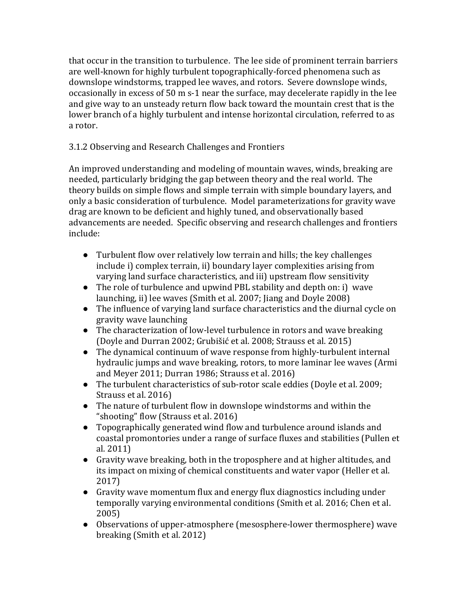that occur in the transition to turbulence. The lee side of prominent terrain barriers are well-known for highly turbulent topographically-forced phenomena such as downslope windstorms, trapped lee waves, and rotors. Severe downslope winds, occasionally in excess of 50 m s-1 near the surface, may decelerate rapidly in the lee and give way to an unsteady return flow back toward the mountain crest that is the lower branch of a highly turbulent and intense horizontal circulation, referred to as a rotor.

# 3.1.2 Observing and Research Challenges and Frontiers

An improved understanding and modeling of mountain waves, winds, breaking are needed, particularly bridging the gap between theory and the real world. The theory builds on simple flows and simple terrain with simple boundary layers, and only a basic consideration of turbulence. Model parameterizations for gravity wave drag are known to be deficient and highly tuned, and observationally based advancements are needed. Specific observing and research challenges and frontiers include:

- Turbulent flow over relatively low terrain and hills; the key challenges include i) complex terrain, ii) boundary layer complexities arising from varying land surface characteristics, and iii) upstream flow sensitivity
- The role of turbulence and upwind PBL stability and depth on: i) wave launching, ii) lee waves (Smith et al. 2007; Jiang and Doyle 2008)
- $\bullet$  The influence of varying land surface characteristics and the diurnal cycle on gravity wave launching
- $\bullet$  The characterization of low-level turbulence in rotors and wave breaking (Doyle and Durran 2002; Grubišić et al. 2008; Strauss et al. 2015)
- The dynamical continuum of wave response from highly-turbulent internal hydraulic jumps and wave breaking, rotors, to more laminar lee waves (Armi and Meyer  $2011$ ; Durran 1986; Strauss et al.  $2016$ )
- The turbulent characteristics of sub-rotor scale eddies (Doyle et al. 2009; Strauss et al. 2016)
- The nature of turbulent flow in downslope windstorms and within the "shooting" flow (Strauss et al. 2016)
- Topographically generated wind flow and turbulence around islands and coastal promontories under a range of surface fluxes and stabilities (Pullen et al. 2011)
- Gravity wave breaking, both in the troposphere and at higher altitudes, and its impact on mixing of chemical constituents and water vapor (Heller et al. 2017)
- Gravity wave momentum flux and energy flux diagnostics including under temporally varying environmental conditions (Smith et al. 2016; Chen et al. 2005)
- Observations of upper-atmosphere (mesosphere-lower thermosphere) wave  $breaking (Smith et al. 2012)$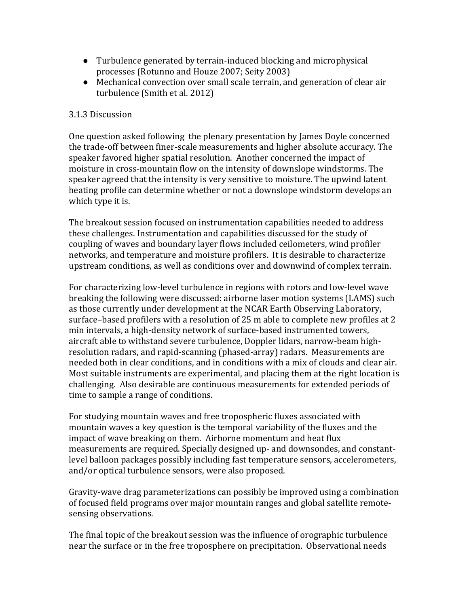- Turbulence generated by terrain-induced blocking and microphysical processes (Rotunno and Houze 2007; Seity 2003)
- Mechanical convection over small scale terrain, and generation of clear air turbulence (Smith et al. 2012)

## 3.1.3 Discussion

One question asked following the plenary presentation by James Doyle concerned the trade-off between finer-scale measurements and higher absolute accuracy. The speaker favored higher spatial resolution. Another concerned the impact of moisture in cross-mountain flow on the intensity of downslope windstorms. The speaker agreed that the intensity is very sensitive to moisture. The upwind latent heating profile can determine whether or not a downslope windstorm develops an which type it is.

The breakout session focused on instrumentation capabilities needed to address these challenges. Instrumentation and capabilities discussed for the study of coupling of waves and boundary layer flows included ceilometers, wind profiler networks, and temperature and moisture profilers. It is desirable to characterize upstream conditions, as well as conditions over and downwind of complex terrain.

For characterizing low-level turbulence in regions with rotors and low-level wave breaking the following were discussed: airborne laser motion systems (LAMS) such as those currently under development at the NCAR Earth Observing Laboratory, surface–based profilers with a resolution of 25 m able to complete new profiles at 2 min intervals, a high-density network of surface-based instrumented towers, aircraft able to withstand severe turbulence, Doppler lidars, narrow-beam highresolution radars, and rapid-scanning (phased-array) radars. Measurements are needed both in clear conditions, and in conditions with a mix of clouds and clear air. Most suitable instruments are experimental, and placing them at the right location is challenging. Also desirable are continuous measurements for extended periods of time to sample a range of conditions.

For studying mountain waves and free tropospheric fluxes associated with mountain waves a key question is the temporal variability of the fluxes and the impact of wave breaking on them. Airborne momentum and heat flux measurements are required. Specially designed up- and downsondes, and constantlevel balloon packages possibly including fast temperature sensors, accelerometers, and/or optical turbulence sensors, were also proposed.

Gravity-wave drag parameterizations can possibly be improved using a combination of focused field programs over major mountain ranges and global satellite remotesensing observations.

The final topic of the breakout session was the influence of orographic turbulence near the surface or in the free troposphere on precipitation. Observational needs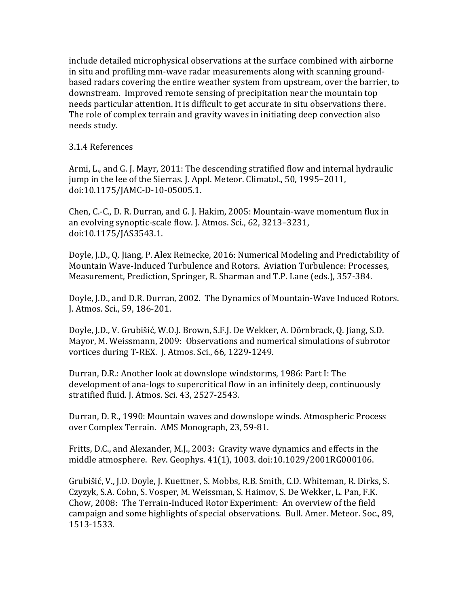include detailed microphysical observations at the surface combined with airborne in situ and profiling mm-wave radar measurements along with scanning groundbased radars covering the entire weather system from upstream, over the barrier, to downstream. Improved remote sensing of precipitation near the mountain top needs particular attention. It is difficult to get accurate in situ observations there. The role of complex terrain and gravity waves in initiating deep convection also needs study.

3.1.4 References

Armi, L., and G. J. Mayr, 2011: The descending stratified flow and internal hydraulic jump in the lee of the Sierras. J. Appl. Meteor. Climatol., 50, 1995–2011, doi:10.1175/JAMC-D-10-05005.1.

Chen, C.-C., D. R. Durran, and G. J. Hakim, 2005: Mountain-wave momentum flux in an evolving synoptic-scale flow. J. Atmos. Sci., 62, 3213-3231, doi:10.1175/JAS3543.1.

Doyle, J.D., Q. Jiang, P. Alex Reinecke, 2016: Numerical Modeling and Predictability of Mountain Wave-Induced Turbulence and Rotors. Aviation Turbulence: Processes, Measurement, Prediction, Springer, R. Sharman and T.P. Lane (eds.), 357-384.

Doyle, J.D., and D.R. Durran, 2002. The Dynamics of Mountain-Wave Induced Rotors. J. Atmos. Sci., 59, 186-201.

Doyle, J.D., V. Grubišić, W.O.J. Brown, S.F.J. De Wekker, A. Dörnbrack, Q. Jiang, S.D. Mayor, M. Weissmann, 2009: Observations and numerical simulations of subrotor vortices during T-REX. J. Atmos. Sci., 66, 1229-1249.

Durran, D.R.: Another look at downslope windstorms, 1986: Part I: The development of ana-logs to supercritical flow in an infinitely deep, continuously stratified fluid. J. Atmos. Sci. 43, 2527-2543.

Durran, D. R., 1990: Mountain waves and downslope winds. Atmospheric Process over Complex Terrain. AMS Monograph, 23, 59-81.

Fritts, D.C., and Alexander, M.J., 2003: Gravity wave dynamics and effects in the middle atmosphere. Rev. Geophys. 41(1), 1003. doi:10.1029/2001RG000106.

Grubišić, V., J.D. Doyle, J. Kuettner, S. Mobbs, R.B. Smith, C.D. Whiteman, R. Dirks, S. Czyzyk, S.A. Cohn, S. Vosper, M. Weissman, S. Haimov, S. De Wekker, L. Pan, F.K. Chow, 2008: The Terrain-Induced Rotor Experiment: An overview of the field campaign and some highlights of special observations. Bull. Amer. Meteor. Soc., 89, 1513-1533.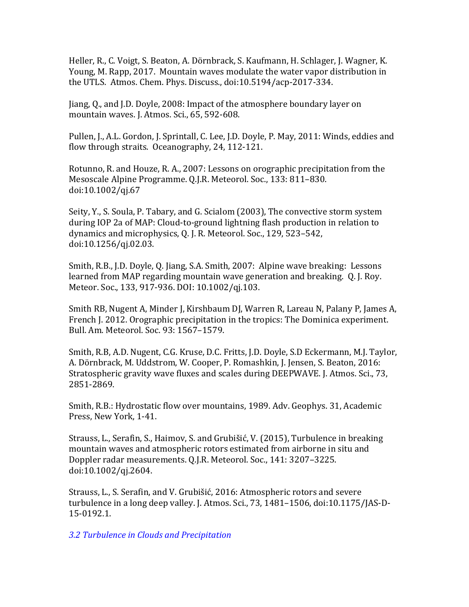Heller, R., C. Voigt, S. Beaton, A. Dörnbrack, S. Kaufmann, H. Schlager, J. Wagner, K. Young, M. Rapp, 2017. Mountain waves modulate the water vapor distribution in the UTLS. Atmos. Chem. Phys. Discuss., doi:10.5194/acp-2017-334.

Jiang, Q., and J.D. Doyle, 2008: Impact of the atmosphere boundary layer on mountain waves. J. Atmos. Sci., 65, 592-608.

Pullen, J., A.L. Gordon, J. Sprintall, C. Lee, J.D. Doyle, P. May, 2011: Winds, eddies and flow through straits. Oceanography, 24, 112-121.

Rotunno, R. and Houze, R. A., 2007: Lessons on orographic precipitation from the Mesoscale Alpine Programme. O.J.R. Meteorol. Soc., 133: 811-830. doi:10.1002/qj.67

Seity, Y., S. Soula, P. Tabary, and G. Scialom (2003). The convective storm system during IOP 2a of MAP: Cloud-to-ground lightning flash production in relation to dynamics and microphysics, Q. J. R. Meteorol. Soc., 129, 523-542, doi:10.1256/qj.02.03.

Smith, R.B., J.D. Doyle, Q. Jiang, S.A. Smith, 2007: Alpine wave breaking: Lessons learned from MAP regarding mountain wave generation and breaking. Q. J. Roy. Meteor. Soc., 133, 917-936. DOI: 10.1002/qj.103.

Smith RB, Nugent A, Minder J, Kirshbaum DJ, Warren R, Lareau N, Palany P, James A, French J. 2012. Orographic precipitation in the tropics: The Dominica experiment. Bull. Am. Meteorol. Soc. 93: 1567–1579.

Smith, R.B, A.D. Nugent, C.G. Kruse, D.C. Fritts, J.D. Doyle, S.D Eckermann, M.J. Taylor, A. Dörnbrack, M. Uddstrom, W. Cooper, P. Romashkin, J. Jensen, S. Beaton, 2016: Stratospheric gravity wave fluxes and scales during DEEPWAVE. J. Atmos. Sci., 73, 2851-2869. 

Smith, R.B.: Hydrostatic flow over mountains, 1989. Adv. Geophys. 31, Academic Press, New York, 1-41.

Strauss, L., Serafin, S., Haimov, S. and Grubišić, V. (2015), Turbulence in breaking mountain waves and atmospheric rotors estimated from airborne in situ and Doppler radar measurements. Q.J.R. Meteorol. Soc., 141: 3207-3225. doi:10.1002/qj.2604.

Strauss, L., S. Serafin, and V. Grubišić, 2016: Atmospheric rotors and severe turbulence in a long deep valley. J. Atmos. Sci.,  $73$ ,  $1481-1506$ , doi:10.1175/JAS-D-15-0192.1.

*3.2 Turbulence in Clouds and Precipitation*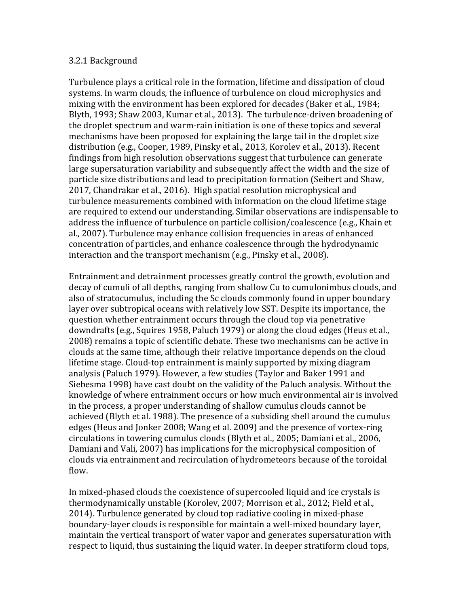### 3.2.1 Background

Turbulence plays a critical role in the formation, lifetime and dissipation of cloud systems. In warm clouds, the influence of turbulence on cloud microphysics and mixing with the environment has been explored for decades (Baker et al., 1984; Blyth, 1993; Shaw 2003, Kumar et al., 2013). The turbulence-driven broadening of the droplet spectrum and warm-rain initiation is one of these topics and several mechanisms have been proposed for explaining the large tail in the droplet size distribution (e.g., Cooper, 1989, Pinsky et al., 2013, Korolev et al., 2013). Recent findings from high resolution observations suggest that turbulence can generate large supersaturation variability and subsequently affect the width and the size of particle size distributions and lead to precipitation formation (Seibert and Shaw, 2017, Chandrakar et al., 2016). High spatial resolution microphysical and turbulence measurements combined with information on the cloud lifetime stage are required to extend our understanding. Similar observations are indispensable to address the influence of turbulence on particle collision/coalescence (e.g., Khain et al., 2007). Turbulence may enhance collision frequencies in areas of enhanced concentration of particles, and enhance coalescence through the hydrodynamic interaction and the transport mechanism (e.g., Pinsky et al., 2008).

Entrainment and detrainment processes greatly control the growth, evolution and decay of cumuli of all depths, ranging from shallow Cu to cumulonimbus clouds, and also of stratocumulus, including the Sc clouds commonly found in upper boundary layer over subtropical oceans with relatively low SST. Despite its importance, the question whether entrainment occurs through the cloud top via penetrative downdrafts (e.g., Squires 1958, Paluch 1979) or along the cloud edges (Heus et al., 2008) remains a topic of scientific debate. These two mechanisms can be active in clouds at the same time, although their relative importance depends on the cloud lifetime stage. Cloud-top entrainment is mainly supported by mixing diagram analysis (Paluch 1979). However, a few studies (Taylor and Baker 1991 and Siebesma 1998) have cast doubt on the validity of the Paluch analysis. Without the knowledge of where entrainment occurs or how much environmental air is involved in the process, a proper understanding of shallow cumulus clouds cannot be achieved (Blyth et al. 1988). The presence of a subsiding shell around the cumulus edges (Heus and Jonker 2008; Wang et al. 2009) and the presence of vortex-ring circulations in towering cumulus clouds (Blyth et al., 2005; Damiani et al., 2006, Damiani and Vali, 2007) has implications for the microphysical composition of clouds via entrainment and recirculation of hydrometeors because of the toroidal flow. 

In mixed-phased clouds the coexistence of supercooled liquid and ice crystals is thermodynamically unstable (Korolev, 2007; Morrison et al., 2012; Field et al., 2014). Turbulence generated by cloud top radiative cooling in mixed-phase boundary-layer clouds is responsible for maintain a well-mixed boundary layer, maintain the vertical transport of water vapor and generates supersaturation with respect to liquid, thus sustaining the liquid water. In deeper stratiform cloud tops,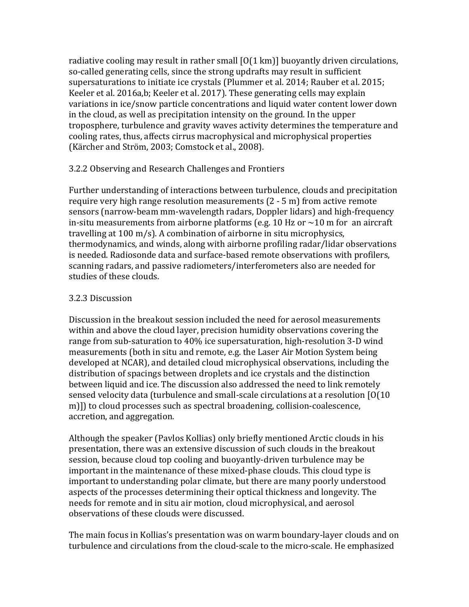radiative cooling may result in rather small  $[O(1 \text{ km})]$  buoyantly driven circulations, so-called generating cells, since the strong updrafts may result in sufficient supersaturations to initiate ice crystals (Plummer et al. 2014; Rauber et al. 2015; Keeler et al. 2016a,b; Keeler et al. 2017). These generating cells may explain variations in ice/snow particle concentrations and liquid water content lower down in the cloud, as well as precipitation intensity on the ground. In the upper troposphere, turbulence and gravity waves activity determines the temperature and cooling rates, thus, affects cirrus macrophysical and microphysical properties (Kärcher and Ström, 2003; Comstock et al., 2008).

## 3.2.2 Observing and Research Challenges and Frontiers

Further understanding of interactions between turbulence, clouds and precipitation require very high range resolution measurements  $(2 - 5)$  m from active remote sensors (narrow-beam mm-wavelength radars, Doppler lidars) and high-frequency in-situ measurements from airborne platforms (e.g. 10 Hz or  $\sim$  10 m for an aircraft travelling at  $100 \text{ m/s}$ ). A combination of airborne in situ microphysics, thermodynamics, and winds, along with airborne profiling radar/lidar observations is needed. Radiosonde data and surface-based remote observations with profilers, scanning radars, and passive radiometers/interferometers also are needed for studies of these clouds.

## 3.2.3 Discussion

Discussion in the breakout session included the need for aerosol measurements within and above the cloud layer, precision humidity observations covering the range from sub-saturation to 40% ice supersaturation, high-resolution 3-D wind measurements (both in situ and remote, e.g. the Laser Air Motion System being developed at NCAR), and detailed cloud microphysical observations, including the distribution of spacings between droplets and ice crystals and the distinction between liquid and ice. The discussion also addressed the need to link remotely sensed velocity data (turbulence and small-scale circulations at a resolution [O(10 m)]) to cloud processes such as spectral broadening, collision-coalescence, accretion, and aggregation.

Although the speaker (Pavlos Kollias) only briefly mentioned Arctic clouds in his presentation, there was an extensive discussion of such clouds in the breakout session, because cloud top cooling and buoyantly-driven turbulence may be important in the maintenance of these mixed-phase clouds. This cloud type is important to understanding polar climate, but there are many poorly understood aspects of the processes determining their optical thickness and longevity. The needs for remote and in situ air motion, cloud microphysical, and aerosol observations of these clouds were discussed.

The main focus in Kollias's presentation was on warm boundary-layer clouds and on turbulence and circulations from the cloud-scale to the micro-scale. He emphasized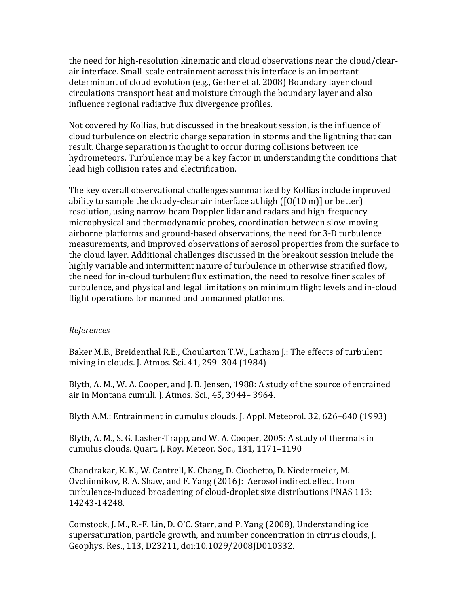the need for high-resolution kinematic and cloud observations near the cloud/clearair interface. Small-scale entrainment across this interface is an important determinant of cloud evolution (e.g., Gerber et al. 2008) Boundary layer cloud circulations transport heat and moisture through the boundary layer and also influence regional radiative flux divergence profiles.

Not covered by Kollias, but discussed in the breakout session, is the influence of cloud turbulence on electric charge separation in storms and the lightning that can result. Charge separation is thought to occur during collisions between ice hydrometeors. Turbulence may be a key factor in understanding the conditions that lead high collision rates and electrification.

The key overall observational challenges summarized by Kollias include improved ability to sample the cloudy-clear air interface at high  $([O(10 \text{ m})]$  or better) resolution, using narrow-beam Doppler lidar and radars and high-frequency microphysical and thermodynamic probes, coordination between slow-moving airborne platforms and ground-based observations, the need for 3-D turbulence measurements, and improved observations of aerosol properties from the surface to the cloud layer. Additional challenges discussed in the breakout session include the highly variable and intermittent nature of turbulence in otherwise stratified flow, the need for in-cloud turbulent flux estimation, the need to resolve finer scales of turbulence, and physical and legal limitations on minimum flight levels and in-cloud flight operations for manned and unmanned platforms.

## *References*

Baker M.B., Breidenthal R.E., Choularton T.W., Latham J.: The effects of turbulent mixing in clouds. J. Atmos. Sci. 41, 299-304 (1984)

Blyth, A. M., W. A. Cooper, and J. B. Jensen, 1988: A study of the source of entrained air in Montana cumuli. J. Atmos. Sci., 45, 3944- 3964.

Blyth A.M.: Entrainment in cumulus clouds. J. Appl. Meteorol. 32, 626-640 (1993)

Blyth, A. M., S. G. Lasher-Trapp, and W. A. Cooper, 2005: A study of thermals in cumulus clouds. Quart. J. Roy. Meteor. Soc., 131, 1171-1190

Chandrakar, K. K., W. Cantrell, K. Chang, D. Ciochetto, D. Niedermeier, M. Ovchinnikov, R. A. Shaw, and F. Yang (2016): Aerosol indirect effect from turbulence-induced broadening of cloud-droplet size distributions PNAS 113: 14243-14248.

Comstock, J. M., R.-F. Lin, D. O'C. Starr, and P. Yang (2008), Understanding ice supersaturation, particle growth, and number concentration in cirrus clouds, J. Geophys. Res., 113, D23211, doi:10.1029/2008JD010332.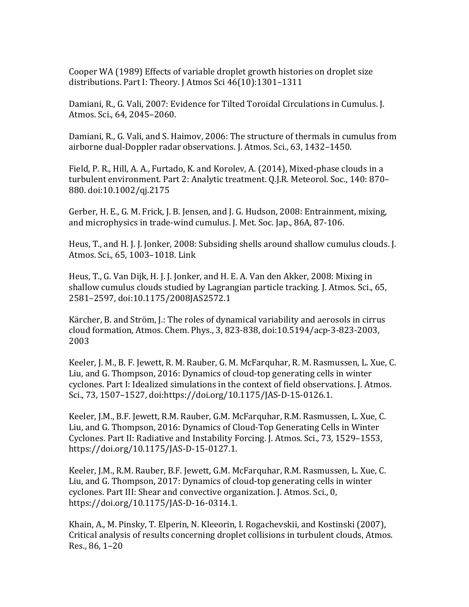Cooper WA (1989) Effects of variable droplet growth histories on droplet size distributions. Part I: Theory. J Atmos Sci 46(10):1301-1311

Damiani, R., G. Vali, 2007: Evidence for Tilted Toroidal Circulations in Cumulus. J. Atmos. Sci., 64, 2045-2060.

Damiani, R., G. Vali, and S. Haimov, 2006: The structure of thermals in cumulus from airborne dual-Doppler radar observations. J. Atmos. Sci., 63, 1432–1450.

Field, P. R., Hill, A. A., Furtado, K. and Korolev, A. (2014), Mixed-phase clouds in a turbulent environment. Part 2: Analytic treatment. Q.J.R. Meteorol. Soc., 140: 870-880. doi:10.1002/qj.2175

Gerber, H. E., G. M. Frick, J. B. Jensen, and J. G. Hudson, 2008: Entrainment, mixing, and microphysics in trade-wind cumulus. J. Met. Soc. Jap., 86A, 87-106.

Heus, T., and H. J. J. Jonker, 2008: Subsiding shells around shallow cumulus clouds. J. Atmos. Sci., 65, 1003-1018. Link

Heus, T., G. Van Dijk, H. J. J. Jonker, and H. E. A. Van den Akker, 2008: Mixing in shallow cumulus clouds studied by Lagrangian particle tracking. J. Atmos. Sci., 65, 2581–2597, doi:10.1175/2008JAS2572.1

Kärcher, B. and Ström, J.: The roles of dynamical variability and aerosols in cirrus cloud formation, Atmos. Chem. Phys., 3, 823-838, doi:10.5194/acp-3-823-2003, 2003

Keeler, J. M., B. F. Jewett, R. M. Rauber, G. M. McFarquhar, R. M. Rasmussen, L. Xue, C. Liu, and G. Thompson, 2016: Dynamics of cloud-top generating cells in winter cyclones. Part I: Idealized simulations in the context of field observations. I. Atmos. Sci., 73, 1507-1527, doi:https://doi.org/10.1175/JAS-D-15-0126.1.

Keeler, J.M., B.F. Jewett, R.M. Rauber, G.M. McFarquhar, R.M. Rasmussen, L. Xue, C. Liu, and G. Thompson, 2016: Dynamics of Cloud-Top Generating Cells in Winter Cyclones. Part II: Radiative and Instability Forcing. J. Atmos. Sci., 73, 1529-1553, https://doi.org/10.1175/JAS-D-15-0127.1.

Keeler, J.M., R.M. Rauber, B.F. Jewett, G.M. McFarquhar, R.M. Rasmussen, L. Xue, C. Liu, and G. Thompson, 2017: Dynamics of cloud-top generating cells in winter cyclones. Part III: Shear and convective organization. J. Atmos. Sci., 0, https://doi.org/10.1175/JAS-D-16-0314.1.

Khain, A., M. Pinsky, T. Elperin, N. Kleeorin, I. Rogachevskii, and Kostinski (2007), Critical analysis of results concerning droplet collisions in turbulent clouds, Atmos. Res., 86, 1–20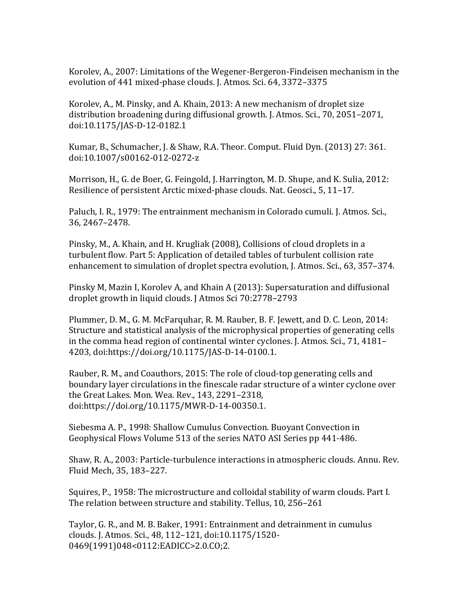Korolev, A., 2007: Limitations of the Wegener-Bergeron-Findeisen mechanism in the evolution of 441 mixed-phase clouds. J. Atmos. Sci. 64, 3372-3375

Korolev, A., M. Pinsky, and A. Khain, 2013: A new mechanism of droplet size distribution broadening during diffusional growth. J. Atmos. Sci., 70, 2051–2071, doi:10.1175/JAS-D-12-0182.1

Kumar, B., Schumacher, J. & Shaw, R.A. Theor. Comput. Fluid Dyn. (2013) 27: 361. doi:10.1007/s00162-012-0272-z

Morrison, H., G. de Boer, G. Feingold, J. Harrington, M. D. Shupe, and K. Sulia, 2012: Resilience of persistent Arctic mixed-phase clouds. Nat. Geosci., 5, 11-17.

Paluch, I. R., 1979: The entrainment mechanism in Colorado cumuli. J. Atmos. Sci., 36, 2467–2478. 

Pinsky, M., A. Khain, and H. Krugliak (2008), Collisions of cloud droplets in a turbulent flow. Part 5: Application of detailed tables of turbulent collision rate enhancement to simulation of droplet spectra evolution, J. Atmos. Sci., 63, 357-374.

Pinsky M, Mazin I, Korolev A, and Khain A (2013): Supersaturation and diffusional droplet growth in liquid clouds. J Atmos Sci 70:2778-2793

Plummer, D. M., G. M. McFarquhar, R. M. Rauber, B. F. Jewett, and D. C. Leon, 2014: Structure and statistical analysis of the microphysical properties of generating cells in the comma head region of continental winter cyclones. J. Atmos. Sci., 71, 4181-4203, doi:https://doi.org/10.1175/JAS-D-14-0100.1.

Rauber, R. M., and Coauthors, 2015: The role of cloud-top generating cells and boundary layer circulations in the finescale radar structure of a winter cyclone over the Great Lakes. Mon. Wea. Rev., 143, 2291-2318, doi:https://doi.org/10.1175/MWR-D-14-00350.1.

Siebesma A. P., 1998: Shallow Cumulus Convection. Buoyant Convection in Geophysical Flows Volume 513 of the series NATO ASI Series pp 441-486.

Shaw, R. A., 2003: Particle-turbulence interactions in atmospheric clouds. Annu. Rev. Fluid Mech, 35, 183-227.

Squires, P., 1958: The microstructure and colloidal stability of warm clouds. Part I. The relation between structure and stability. Tellus, 10, 256-261

Taylor, G. R., and M. B. Baker, 1991: Entrainment and detrainment in cumulus clouds. J. Atmos. Sci., 48, 112–121, doi:10.1175/1520- 0469(1991)048<0112:EADICC>2.0.CO;2.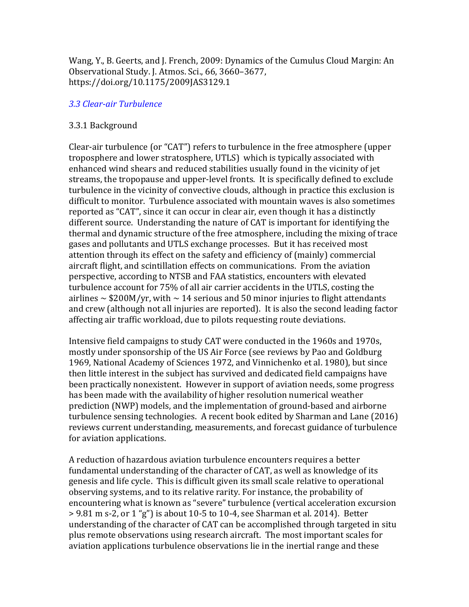Wang, Y., B. Geerts, and J. French, 2009: Dynamics of the Cumulus Cloud Margin: An Observational Study. J. Atmos. Sci., 66, 3660-3677, https://doi.org/10.1175/2009JAS3129.1

### *3.3 Clear-air Turbulence*

### 3.3.1 Background

Clear-air turbulence (or "CAT") refers to turbulence in the free atmosphere (upper troposphere and lower stratosphere, UTLS) which is typically associated with enhanced wind shears and reduced stabilities usually found in the vicinity of jet streams, the tropopause and upper-level fronts. It is specifically defined to exclude turbulence in the vicinity of convective clouds, although in practice this exclusion is difficult to monitor. Turbulence associated with mountain waves is also sometimes reported as "CAT", since it can occur in clear air, even though it has a distinctly different source. Understanding the nature of CAT is important for identifying the thermal and dynamic structure of the free atmosphere, including the mixing of trace gases and pollutants and UTLS exchange processes. But it has received most attention through its effect on the safety and efficiency of (mainly) commercial aircraft flight, and scintillation effects on communications. From the aviation perspective, according to NTSB and FAA statistics, encounters with elevated turbulence account for 75% of all air carrier accidents in the UTLS, costing the airlines  $\sim$  \$200M/yr, with  $\sim$  14 serious and 50 minor injuries to flight attendants and crew (although not all injuries are reported). It is also the second leading factor affecting air traffic workload, due to pilots requesting route deviations.

Intensive field campaigns to study CAT were conducted in the 1960s and 1970s, mostly under sponsorship of the US Air Force (see reviews by Pao and Goldburg 1969, National Academy of Sciences 1972, and Vinnichenko et al. 1980), but since then little interest in the subject has survived and dedicated field campaigns have been practically nonexistent. However in support of aviation needs, some progress has been made with the availability of higher resolution numerical weather prediction (NWP) models, and the implementation of ground-based and airborne turbulence sensing technologies. A recent book edited by Sharman and Lane (2016) reviews current understanding, measurements, and forecast guidance of turbulence for aviation applications.

A reduction of hazardous aviation turbulence encounters requires a better fundamental understanding of the character of CAT, as well as knowledge of its genesis and life cycle. This is difficult given its small scale relative to operational observing systems, and to its relative rarity. For instance, the probability of encountering what is known as "severe" turbulence (vertical acceleration excursion  $>$  9.81 m s-2, or 1 "g") is about 10-5 to 10-4, see Sharman et al. 2014). Better understanding of the character of CAT can be accomplished through targeted in situ plus remote observations using research aircraft. The most important scales for aviation applications turbulence observations lie in the inertial range and these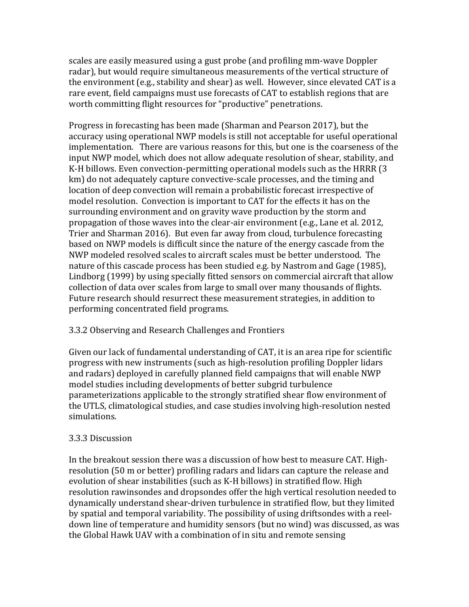scales are easily measured using a gust probe (and profiling mm-wave Doppler radar), but would require simultaneous measurements of the vertical structure of the environment (e.g., stability and shear) as well. However, since elevated CAT is a rare event, field campaigns must use forecasts of CAT to establish regions that are worth committing flight resources for "productive" penetrations.

Progress in forecasting has been made (Sharman and Pearson 2017), but the accuracy using operational NWP models is still not acceptable for useful operational implementation. There are various reasons for this, but one is the coarseness of the input NWP model, which does not allow adequate resolution of shear, stability, and K-H billows. Even convection-permitting operational models such as the HRRR (3) km) do not adequately capture convective-scale processes, and the timing and location of deep convection will remain a probabilistic forecast irrespective of model resolution. Convection is important to CAT for the effects it has on the surrounding environment and on gravity wave production by the storm and propagation of those waves into the clear-air environment  $(e.g.,$  Lane et al. 2012, Trier and Sharman 2016). But even far away from cloud, turbulence forecasting based on NWP models is difficult since the nature of the energy cascade from the NWP modeled resolved scales to aircraft scales must be better understood. The nature of this cascade process has been studied e.g. by Nastrom and Gage (1985), Lindborg (1999) by using specially fitted sensors on commercial aircraft that allow collection of data over scales from large to small over many thousands of flights. Future research should resurrect these measurement strategies, in addition to performing concentrated field programs.

## 3.3.2 Observing and Research Challenges and Frontiers

Given our lack of fundamental understanding of CAT, it is an area ripe for scientific progress with new instruments (such as high-resolution profiling Doppler lidars and radars) deployed in carefully planned field campaigns that will enable NWP model studies including developments of better subgrid turbulence parameterizations applicable to the strongly stratified shear flow environment of the UTLS, climatological studies, and case studies involving high-resolution nested simulations.

## 3.3.3 Discussion

In the breakout session there was a discussion of how best to measure CAT. Highresolution (50 m or better) profiling radars and lidars can capture the release and evolution of shear instabilities (such as K-H billows) in stratified flow. High resolution rawinsondes and dropsondes offer the high vertical resolution needed to dynamically understand shear-driven turbulence in stratified flow, but they limited by spatial and temporal variability. The possibility of using driftsondes with a reeldown line of temperature and humidity sensors (but no wind) was discussed, as was the Global Hawk UAV with a combination of in situ and remote sensing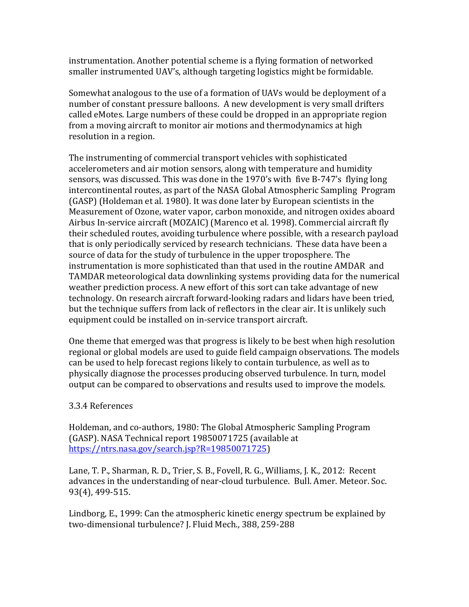instrumentation. Another potential scheme is a flying formation of networked smaller instrumented UAV's, although targeting logistics might be formidable.

Somewhat analogous to the use of a formation of UAVs would be deployment of a number of constant pressure balloons. A new development is very small drifters called eMotes. Large numbers of these could be dropped in an appropriate region from a moving aircraft to monitor air motions and thermodynamics at high resolution in a region.

The instrumenting of commercial transport vehicles with sophisticated accelerometers and air motion sensors, along with temperature and humidity sensors, was discussed. This was done in the 1970's with five B-747's flying long intercontinental routes, as part of the NASA Global Atmospheric Sampling Program (GASP) (Holdeman et al. 1980). It was done later by European scientists in the Measurement of Ozone, water vapor, carbon monoxide, and nitrogen oxides aboard Airbus In-service aircraft (MOZAIC) (Marenco et al. 1998). Commercial aircraft fly their scheduled routes, avoiding turbulence where possible, with a research payload that is only periodically serviced by research technicians. These data have been a source of data for the study of turbulence in the upper troposphere. The instrumentation is more sophisticated than that used in the routine AMDAR and TAMDAR meteorological data downlinking systems providing data for the numerical weather prediction process. A new effort of this sort can take advantage of new technology. On research aircraft forward-looking radars and lidars have been tried, but the technique suffers from lack of reflectors in the clear air. It is unlikely such equipment could be installed on in-service transport aircraft.

One theme that emerged was that progress is likely to be best when high resolution regional or global models are used to guide field campaign observations. The models can be used to help forecast regions likely to contain turbulence, as well as to physically diagnose the processes producing observed turbulence. In turn, model output can be compared to observations and results used to improve the models.

## 3.3.4 References

Holdeman, and co-authors, 1980: The Global Atmospheric Sampling Program (GASP). NASA Technical report 19850071725 (available at https://ntrs.nasa.gov/search.jsp?R=19850071725)

Lane, T. P., Sharman, R. D., Trier, S. B., Fovell, R. G., Williams, J. K., 2012: Recent advances in the understanding of near-cloud turbulence. Bull. Amer. Meteor. Soc. 93(4), 499-515.

Lindborg, E., 1999: Can the atmospheric kinetic energy spectrum be explained by two-dimensional turbulence? J. Fluid Mech., 388, 259-288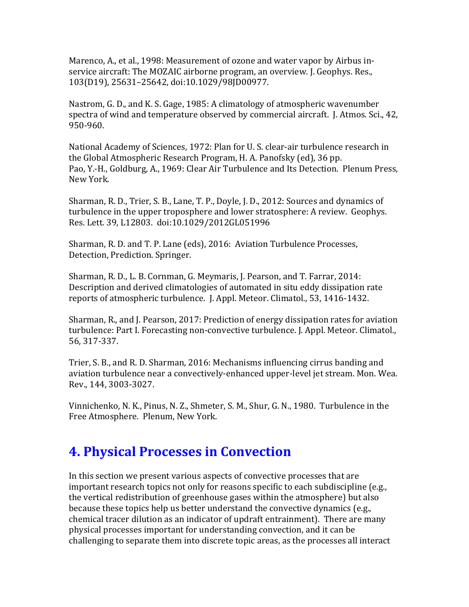Marenco, A., et al., 1998: Measurement of ozone and water vapor by Airbus inservice aircraft: The MOZAIC airborne program, an overview. J. Geophys. Res., 103(D19), 25631–25642, doi:10.1029/98JD00977.

Nastrom, G. D., and K. S. Gage, 1985: A climatology of atmospheric wavenumber spectra of wind and temperature observed by commercial aircraft. J. Atmos. Sci., 42, 950-960. 

National Academy of Sciences, 1972: Plan for U.S. clear-air turbulence research in the Global Atmospheric Research Program, H. A. Panofsky (ed), 36 pp. Pao, Y.-H., Goldburg, A., 1969: Clear Air Turbulence and Its Detection. Plenum Press, New York.

Sharman, R. D., Trier, S. B., Lane, T. P., Doyle, J. D., 2012: Sources and dynamics of turbulence in the upper troposphere and lower stratosphere: A review. Geophys. Res. Lett. 39, L12803. doi:10.1029/2012GL051996 

Sharman, R. D. and T. P. Lane (eds), 2016: Aviation Turbulence Processes, Detection, Prediction. Springer.

Sharman, R. D., L. B. Cornman, G. Meymaris, J. Pearson, and T. Farrar, 2014: Description and derived climatologies of automated in situ eddy dissipation rate reports of atmospheric turbulence. J. Appl. Meteor. Climatol., 53, 1416-1432.

Sharman, R., and J. Pearson, 2017: Prediction of energy dissipation rates for aviation turbulence: Part I. Forecasting non-convective turbulence. J. Appl. Meteor. Climatol., 56, 317-337. 

Trier, S. B., and R. D. Sharman, 2016: Mechanisms influencing cirrus banding and aviation turbulence near a convectively-enhanced upper-level jet stream. Mon. Wea. Rev., 144, 3003-3027.

Vinnichenko, N. K., Pinus, N. Z., Shmeter, S. M., Shur, G. N., 1980. Turbulence in the Free Atmosphere. Plenum, New York.

# **4. Physical Processes in Convection**

In this section we present various aspects of convective processes that are important research topics not only for reasons specific to each subdiscipline  $(e.g.,)$ the vertical redistribution of greenhouse gases within the atmosphere) but also because these topics help us better understand the convective dynamics (e.g., chemical tracer dilution as an indicator of updraft entrainment). There are many physical processes important for understanding convection, and it can be challenging to separate them into discrete topic areas, as the processes all interact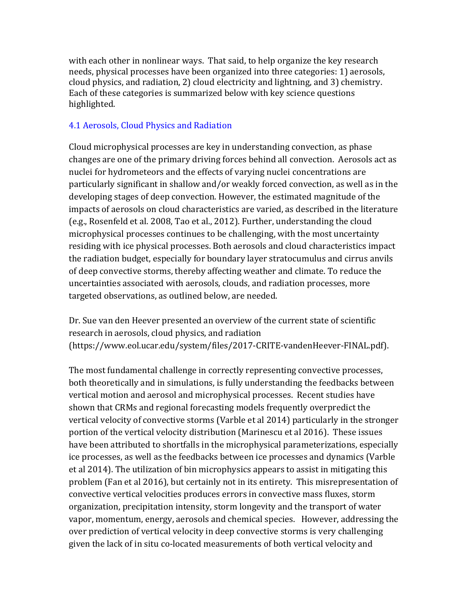with each other in nonlinear ways. That said, to help organize the key research needs, physical processes have been organized into three categories: 1) aerosols, cloud physics, and radiation, 2) cloud electricity and lightning, and 3) chemistry. Each of these categories is summarized below with key science questions highlighted.

### 4.1 Aerosols, Cloud Physics and Radiation

Cloud microphysical processes are key in understanding convection, as phase changes are one of the primary driving forces behind all convection. Aerosols act as nuclei for hydrometeors and the effects of varying nuclei concentrations are particularly significant in shallow and/or weakly forced convection, as well as in the developing stages of deep convection. However, the estimated magnitude of the impacts of aerosols on cloud characteristics are varied, as described in the literature (e.g., Rosenfeld et al. 2008, Tao et al., 2012). Further, understanding the cloud microphysical processes continues to be challenging, with the most uncertainty residing with ice physical processes. Both aerosols and cloud characteristics impact the radiation budget, especially for boundary layer stratocumulus and cirrus anvils of deep convective storms, thereby affecting weather and climate. To reduce the uncertainties associated with aerosols, clouds, and radiation processes, more targeted observations, as outlined below, are needed.

Dr. Sue van den Heever presented an overview of the current state of scientific research in aerosols, cloud physics, and radiation (https://www.eol.ucar.edu/system/files/2017-CRITE-vandenHeever-FINAL.pdf). 

The most fundamental challenge in correctly representing convective processes, both theoretically and in simulations, is fully understanding the feedbacks between vertical motion and aerosol and microphysical processes. Recent studies have shown that CRMs and regional forecasting models frequently overpredict the vertical velocity of convective storms (Varble et al 2014) particularly in the stronger portion of the vertical velocity distribution (Marinescu et al 2016). These issues have been attributed to shortfalls in the microphysical parameterizations, especially ice processes, as well as the feedbacks between ice processes and dynamics (Varble et al 2014). The utilization of bin microphysics appears to assist in mitigating this problem (Fan et al 2016), but certainly not in its entirety. This misrepresentation of convective vertical velocities produces errors in convective mass fluxes, storm organization, precipitation intensity, storm longevity and the transport of water vapor, momentum, energy, aerosols and chemical species. However, addressing the over prediction of vertical velocity in deep convective storms is very challenging given the lack of in situ co-located measurements of both vertical velocity and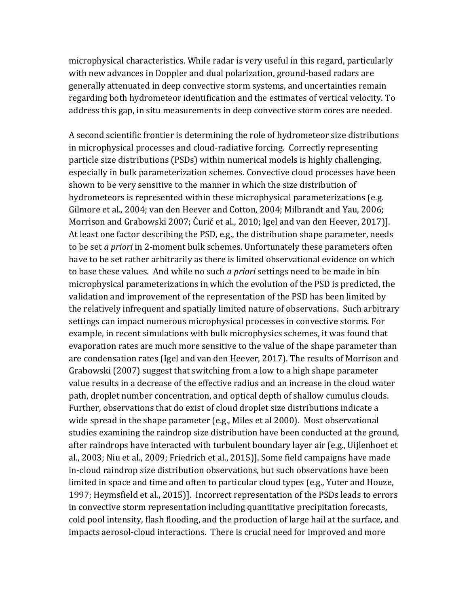microphysical characteristics. While radar is very useful in this regard, particularly with new advances in Doppler and dual polarization, ground-based radars are generally attenuated in deep convective storm systems, and uncertainties remain regarding both hydrometeor identification and the estimates of vertical velocity. To address this gap, in situ measurements in deep convective storm cores are needed.

A second scientific frontier is determining the role of hydrometeor size distributions in microphysical processes and cloud-radiative forcing. Correctly representing particle size distributions (PSDs) within numerical models is highly challenging, especially in bulk parameterization schemes. Convective cloud processes have been shown to be very sensitive to the manner in which the size distribution of hydrometeors is represented within these microphysical parameterizations (e.g. Gilmore et al., 2004; van den Heever and Cotton, 2004; Milbrandt and Yau, 2006; Morrison and Grabowski 2007; Ćurić et al., 2010; Igel and van den Heever, 2017)]. At least one factor describing the PSD, e.g., the distribution shape parameter, needs to be set *a priori* in 2-moment bulk schemes. Unfortunately these parameters often have to be set rather arbitrarily as there is limited observational evidence on which to base these values. And while no such *a priori* settings need to be made in bin microphysical parameterizations in which the evolution of the PSD is predicted, the validation and improvement of the representation of the PSD has been limited by the relatively infrequent and spatially limited nature of observations. Such arbitrary settings can impact numerous microphysical processes in convective storms. For example, in recent simulations with bulk microphysics schemes, it was found that evaporation rates are much more sensitive to the value of the shape parameter than are condensation rates (Igel and van den Heever, 2017). The results of Morrison and Grabowski (2007) suggest that switching from a low to a high shape parameter value results in a decrease of the effective radius and an increase in the cloud water path, droplet number concentration, and optical depth of shallow cumulus clouds. Further, observations that do exist of cloud droplet size distributions indicate a wide spread in the shape parameter  $(e.g.,$  Miles et al 2000). Most observational studies examining the raindrop size distribution have been conducted at the ground, after raindrops have interacted with turbulent boundary layer air (e.g., Uijlenhoet et al., 2003; Niu et al., 2009; Friedrich et al., 2015)]. Some field campaigns have made in-cloud raindrop size distribution observations, but such observations have been limited in space and time and often to particular cloud types (e.g., Yuter and Houze, 1997; Heymsfield et al., 2015)]. Incorrect representation of the PSDs leads to errors in convective storm representation including quantitative precipitation forecasts, cold pool intensity, flash flooding, and the production of large hail at the surface, and impacts aerosol-cloud interactions. There is crucial need for improved and more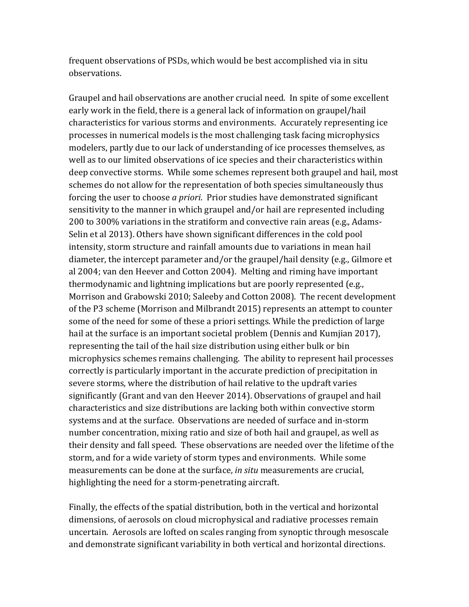frequent observations of PSDs, which would be best accomplished via in situ observations.

Graupel and hail observations are another crucial need. In spite of some excellent early work in the field, there is a general lack of information on graupel/hail characteristics for various storms and environments. Accurately representing ice processes in numerical models is the most challenging task facing microphysics modelers, partly due to our lack of understanding of ice processes themselves, as well as to our limited observations of ice species and their characteristics within deep convective storms. While some schemes represent both graupel and hail, most schemes do not allow for the representation of both species simultaneously thus forcing the user to choose *a priori*. Prior studies have demonstrated significant sensitivity to the manner in which graupel and/or hail are represented including 200 to 300% variations in the stratiform and convective rain areas (e.g., Adams-Selin et al 2013). Others have shown significant differences in the cold pool intensity, storm structure and rainfall amounts due to variations in mean hail diameter, the intercept parameter and/or the graupel/hail density (e.g., Gilmore et al 2004; van den Heever and Cotton 2004). Melting and riming have important thermodynamic and lightning implications but are poorly represented (e.g., Morrison and Grabowski 2010; Saleeby and Cotton 2008). The recent development of the P3 scheme (Morrison and Milbrandt 2015) represents an attempt to counter some of the need for some of these a priori settings. While the prediction of large hail at the surface is an important societal problem (Dennis and Kumjian 2017), representing the tail of the hail size distribution using either bulk or bin microphysics schemes remains challenging. The ability to represent hail processes correctly is particularly important in the accurate prediction of precipitation in severe storms, where the distribution of hail relative to the updraft varies significantly (Grant and van den Heever 2014). Observations of graupel and hail characteristics and size distributions are lacking both within convective storm systems and at the surface. Observations are needed of surface and in-storm number concentration, mixing ratio and size of both hail and graupel, as well as their density and fall speed. These observations are needed over the lifetime of the storm, and for a wide variety of storm types and environments. While some measurements can be done at the surface, *in situ* measurements are crucial, highlighting the need for a storm-penetrating aircraft.

Finally, the effects of the spatial distribution, both in the vertical and horizontal dimensions, of aerosols on cloud microphysical and radiative processes remain uncertain. Aerosols are lofted on scales ranging from synoptic through mesoscale and demonstrate significant variability in both vertical and horizontal directions.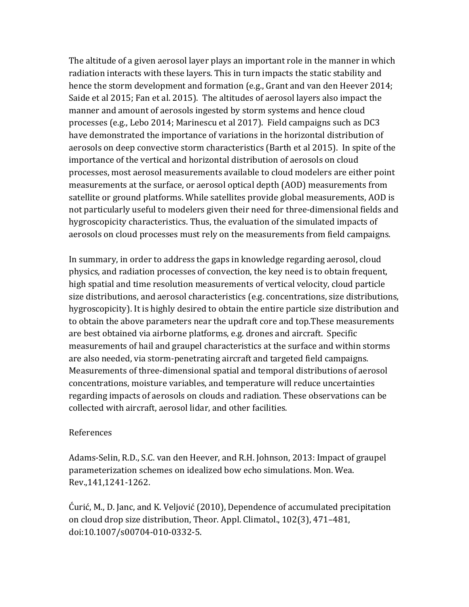The altitude of a given aerosol layer plays an important role in the manner in which radiation interacts with these layers. This in turn impacts the static stability and hence the storm development and formation (e.g., Grant and van den Heever 2014; Saide et al 2015; Fan et al. 2015). The altitudes of aerosol layers also impact the manner and amount of aerosols ingested by storm systems and hence cloud processes (e.g., Lebo 2014; Marinescu et al 2017). Field campaigns such as DC3 have demonstrated the importance of variations in the horizontal distribution of aerosols on deep convective storm characteristics (Barth et al 2015). In spite of the importance of the vertical and horizontal distribution of aerosols on cloud processes, most aerosol measurements available to cloud modelers are either point measurements at the surface, or aerosol optical depth (AOD) measurements from satellite or ground platforms. While satellites provide global measurements, AOD is not particularly useful to modelers given their need for three-dimensional fields and hygroscopicity characteristics. Thus, the evaluation of the simulated impacts of aerosols on cloud processes must rely on the measurements from field campaigns.

In summary, in order to address the gaps in knowledge regarding aerosol, cloud physics, and radiation processes of convection, the key need is to obtain frequent, high spatial and time resolution measurements of vertical velocity, cloud particle size distributions, and aerosol characteristics (e.g. concentrations, size distributions, hygroscopicity). It is highly desired to obtain the entire particle size distribution and to obtain the above parameters near the updraft core and top. These measurements are best obtained via airborne platforms, e.g. drones and aircraft. Specific measurements of hail and graupel characteristics at the surface and within storms are also needed, via storm-penetrating aircraft and targeted field campaigns. Measurements of three-dimensional spatial and temporal distributions of aerosol concentrations, moisture variables, and temperature will reduce uncertainties regarding impacts of aerosols on clouds and radiation. These observations can be collected with aircraft, aerosol lidar, and other facilities.

## References

Adams-Selin, R.D., S.C. van den Heever, and R.H. Johnson, 2013: Impact of graupel parameterization schemes on idealized bow echo simulations. Mon. Wea. Rev.,141,1241-1262.

Curić, M., D. Janc, and K. Veljović (2010), Dependence of accumulated precipitation on cloud drop size distribution, Theor. Appl. Climatol., 102(3), 471-481, doi:10.1007/s00704-010-0332-5.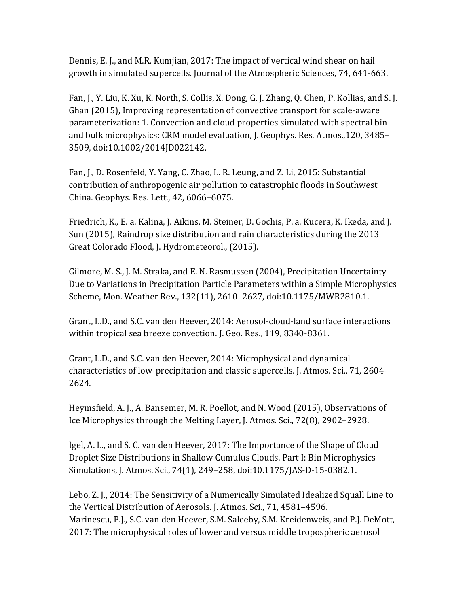Dennis, E. J., and M.R. Kumjian, 2017: The impact of vertical wind shear on hail growth in simulated supercells. Journal of the Atmospheric Sciences, 74, 641-663.

Fan, J., Y. Liu, K. Xu, K. North, S. Collis, X. Dong, G. J. Zhang, Q. Chen, P. Kollias, and S. J. Ghan (2015), Improving representation of convective transport for scale-aware parameterization: 1. Convection and cloud properties simulated with spectral bin and bulk microphysics: CRM model evaluation, J. Geophys. Res. Atmos.,120, 3485-3509, doi:10.1002/2014JD022142.

Fan, J., D. Rosenfeld, Y. Yang, C. Zhao, L. R. Leung, and Z. Li, 2015: Substantial contribution of anthropogenic air pollution to catastrophic floods in Southwest China. Geophys. Res. Lett., 42, 6066-6075.

Friedrich, K., E. a. Kalina, J. Aikins, M. Steiner, D. Gochis, P. a. Kucera, K. Ikeda, and J. Sun  $(2015)$ , Raindrop size distribution and rain characteristics during the 2013 Great Colorado Flood, J. Hydrometeorol., (2015).

Gilmore, M. S., J. M. Straka, and E. N. Rasmussen (2004), Precipitation Uncertainty Due to Variations in Precipitation Particle Parameters within a Simple Microphysics Scheme, Mon. Weather Rev., 132(11), 2610-2627, doi:10.1175/MWR2810.1.

Grant, L.D., and S.C. van den Heever, 2014: Aerosol-cloud-land surface interactions within tropical sea breeze convection. J. Geo. Res., 119, 8340-8361.

Grant, L.D., and S.C. van den Heever, 2014: Microphysical and dynamical characteristics of low-precipitation and classic supercells. J. Atmos. Sci., 71, 2604-2624.

Heymsfield, A. J., A. Bansemer, M. R. Poellot, and N. Wood (2015), Observations of Ice Microphysics through the Melting Layer, J. Atmos. Sci., 72(8), 2902–2928.

Igel, A. L., and S. C. van den Heever, 2017: The Importance of the Shape of Cloud Droplet Size Distributions in Shallow Cumulus Clouds. Part I: Bin Microphysics Simulations, J. Atmos. Sci., 74(1), 249-258, doi:10.1175/JAS-D-15-0382.1.

Lebo, Z. J., 2014: The Sensitivity of a Numerically Simulated Idealized Squall Line to the Vertical Distribution of Aerosols. J. Atmos. Sci., 71, 4581-4596. Marinescu, P.J., S.C. van den Heever, S.M. Saleeby, S.M. Kreidenweis, and P.J. DeMott, 2017: The microphysical roles of lower and versus middle tropospheric aerosol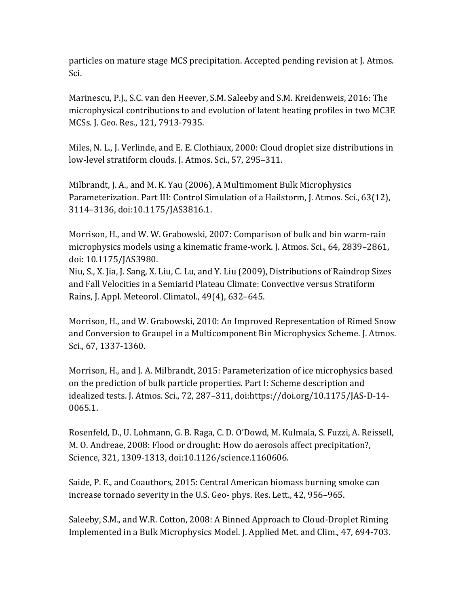particles on mature stage MCS precipitation. Accepted pending revision at J. Atmos. Sci.

Marinescu, P.J., S.C. van den Heever, S.M. Saleeby and S.M. Kreidenweis, 2016: The microphysical contributions to and evolution of latent heating profiles in two MC3E MCSs. J. Geo. Res., 121, 7913-7935.

Miles, N. L., J. Verlinde, and E. E. Clothiaux, 2000: Cloud droplet size distributions in low-level stratiform clouds. J. Atmos. Sci., 57, 295-311.

Milbrandt, J. A., and M. K. Yau (2006), A Multimoment Bulk Microphysics Parameterization. Part III: Control Simulation of a Hailstorm, J. Atmos. Sci., 63(12), 3114-3136, doi:10.1175/JAS3816.1.

Morrison, H., and W. W. Grabowski, 2007: Comparison of bulk and bin warm-rain microphysics models using a kinematic frame-work. J. Atmos. Sci., 64, 2839–2861, doi: 10.1175/JAS3980.

Niu, S., X. Jia, J. Sang, X. Liu, C. Lu, and Y. Liu (2009), Distributions of Raindrop Sizes and Fall Velocities in a Semiarid Plateau Climate: Convective versus Stratiform Rains, J. Appl. Meteorol. Climatol., 49(4), 632-645.

Morrison, H., and W. Grabowski, 2010: An Improved Representation of Rimed Snow and Conversion to Graupel in a Multicomponent Bin Microphysics Scheme. J. Atmos. Sci., 67, 1337-1360.

Morrison, H., and J. A. Milbrandt, 2015: Parameterization of ice microphysics based on the prediction of bulk particle properties. Part I: Scheme description and idealized tests. J. Atmos. Sci., 72, 287-311, doi:https://doi.org/10.1175/JAS-D-14-0065.1.

Rosenfeld, D., U. Lohmann, G. B. Raga, C. D. O'Dowd, M. Kulmala, S. Fuzzi, A. Reissell, M. O. Andreae, 2008: Flood or drought: How do aerosols affect precipitation?, Science, 321, 1309-1313, doi:10.1126/science.1160606.

Saide, P. E., and Coauthors, 2015: Central American biomass burning smoke can increase tornado severity in the U.S. Geo- phys. Res. Lett., 42, 956-965.

Saleeby, S.M., and W.R. Cotton, 2008: A Binned Approach to Cloud-Droplet Riming Implemented in a Bulk Microphysics Model. J. Applied Met. and Clim., 47, 694-703.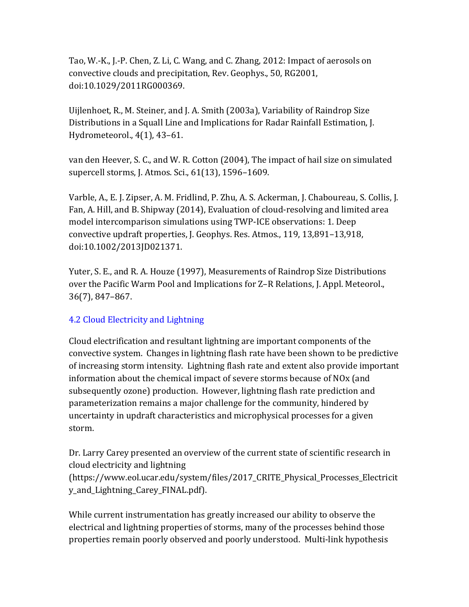Tao, W.-K., J.-P. Chen, Z. Li, C. Wang, and C. Zhang, 2012: Impact of aerosols on convective clouds and precipitation, Rev. Geophys., 50, RG2001, doi:10.1029/2011RG000369.

Uijlenhoet, R., M. Steiner, and J. A. Smith (2003a), Variability of Raindrop Size Distributions in a Squall Line and Implications for Radar Rainfall Estimation, J. Hydrometeorol.,  $4(1)$ ,  $43-61$ .

van den Heever, S. C., and W. R. Cotton (2004), The impact of hail size on simulated supercell storms, J. Atmos. Sci., 61(13), 1596-1609.

Varble, A., E. J. Zipser, A. M. Fridlind, P. Zhu, A. S. Ackerman, J. Chaboureau, S. Collis, J. Fan, A. Hill, and B. Shipway (2014), Evaluation of cloud-resolving and limited area model intercomparison simulations using TWP-ICE observations: 1. Deep convective updraft properties, J. Geophys. Res. Atmos., 119, 13,891-13,918, doi:10.1002/2013JD021371.

Yuter, S. E., and R. A. Houze (1997), Measurements of Raindrop Size Distributions over the Pacific Warm Pool and Implications for Z-R Relations, J. Appl. Meteorol., 36(7), 847–867.

# 4.2 Cloud Electricity and Lightning

Cloud electrification and resultant lightning are important components of the convective system. Changes in lightning flash rate have been shown to be predictive of increasing storm intensity. Lightning flash rate and extent also provide important information about the chemical impact of severe storms because of NO<sub>x</sub> (and subsequently ozone) production. However, lightning flash rate prediction and parameterization remains a major challenge for the community, hindered by uncertainty in updraft characteristics and microphysical processes for a given storm. 

Dr. Larry Carey presented an overview of the current state of scientific research in cloud electricity and lightning 

(https://www.eol.ucar.edu/system/files/2017\_CRITE\_Physical\_Processes\_Electricit y\_and\_Lightning\_Carey\_FINAL.pdf). 

While current instrumentation has greatly increased our ability to observe the electrical and lightning properties of storms, many of the processes behind those properties remain poorly observed and poorly understood. Multi-link hypothesis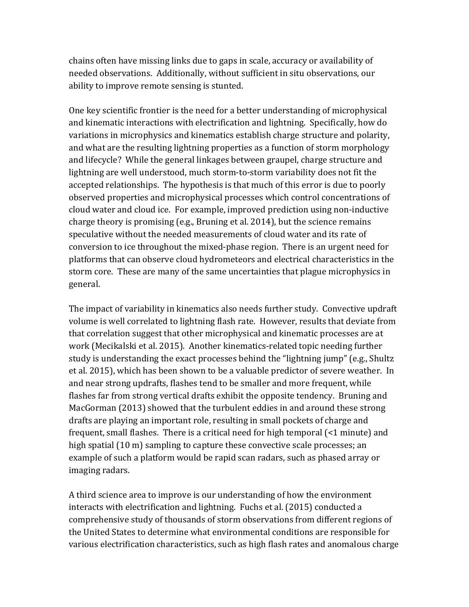chains often have missing links due to gaps in scale, accuracy or availability of needed observations. Additionally, without sufficient in situ observations, our ability to improve remote sensing is stunted.

One key scientific frontier is the need for a better understanding of microphysical and kinematic interactions with electrification and lightning. Specifically, how do variations in microphysics and kinematics establish charge structure and polarity, and what are the resulting lightning properties as a function of storm morphology and lifecycle? While the general linkages between graupel, charge structure and lightning are well understood, much storm-to-storm variability does not fit the accepted relationships. The hypothesis is that much of this error is due to poorly observed properties and microphysical processes which control concentrations of cloud water and cloud ice. For example, improved prediction using non-inductive charge theory is promising  $(e.g., Bruning et al. 2014)$ , but the science remains speculative without the needed measurements of cloud water and its rate of conversion to ice throughout the mixed-phase region. There is an urgent need for platforms that can observe cloud hydrometeors and electrical characteristics in the storm core. These are many of the same uncertainties that plague microphysics in general.

The impact of variability in kinematics also needs further study. Convective updraft volume is well correlated to lightning flash rate. However, results that deviate from that correlation suggest that other microphysical and kinematic processes are at work (Mecikalski et al. 2015). Another kinematics-related topic needing further study is understanding the exact processes behind the "lightning jump" (e.g., Shultz et al. 2015), which has been shown to be a valuable predictor of severe weather. In and near strong updrafts, flashes tend to be smaller and more frequent, while flashes far from strong vertical drafts exhibit the opposite tendency. Bruning and MacGorman (2013) showed that the turbulent eddies in and around these strong drafts are playing an important role, resulting in small pockets of charge and frequent, small flashes. There is a critical need for high temporal  $\leq 1$  minute) and high spatial  $(10 \text{ m})$  sampling to capture these convective scale processes; an example of such a platform would be rapid scan radars, such as phased array or imaging radars.

A third science area to improve is our understanding of how the environment interacts with electrification and lightning. Fuchs et al.  $(2015)$  conducted a comprehensive study of thousands of storm observations from different regions of the United States to determine what environmental conditions are responsible for various electrification characteristics, such as high flash rates and anomalous charge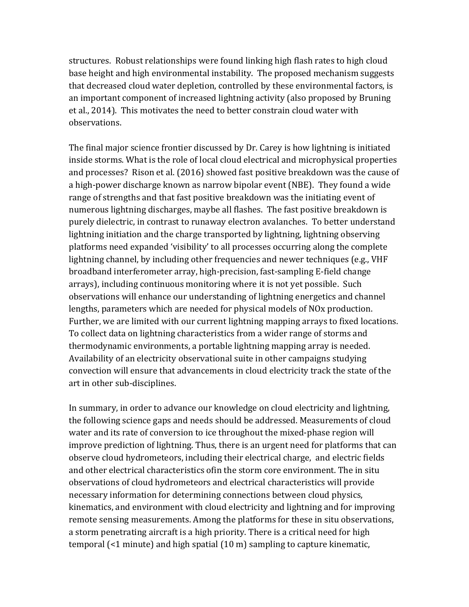structures. Robust relationships were found linking high flash rates to high cloud base height and high environmental instability. The proposed mechanism suggests that decreased cloud water depletion, controlled by these environmental factors, is an important component of increased lightning activity (also proposed by Bruning et al., 2014). This motivates the need to better constrain cloud water with observations.

The final major science frontier discussed by Dr. Carey is how lightning is initiated inside storms. What is the role of local cloud electrical and microphysical properties and processes? Rison et al. (2016) showed fast positive breakdown was the cause of a high-power discharge known as narrow bipolar event (NBE). They found a wide range of strengths and that fast positive breakdown was the initiating event of numerous lightning discharges, maybe all flashes. The fast positive breakdown is purely dielectric, in contrast to runaway electron avalanches. To better understand lightning initiation and the charge transported by lightning, lightning observing platforms need expanded 'visibility' to all processes occurring along the complete lightning channel, by including other frequencies and newer techniques (e.g., VHF broadband interferometer array, high-precision, fast-sampling E-field change arrays), including continuous monitoring where it is not yet possible. Such observations will enhance our understanding of lightning energetics and channel lengths, parameters which are needed for physical models of NO<sub>x</sub> production. Further, we are limited with our current lightning mapping arrays to fixed locations. To collect data on lightning characteristics from a wider range of storms and thermodynamic environments, a portable lightning mapping array is needed. Availability of an electricity observational suite in other campaigns studying convection will ensure that advancements in cloud electricity track the state of the art in other sub-disciplines.

In summary, in order to advance our knowledge on cloud electricity and lightning, the following science gaps and needs should be addressed. Measurements of cloud water and its rate of conversion to ice throughout the mixed-phase region will improve prediction of lightning. Thus, there is an urgent need for platforms that can observe cloud hydrometeors, including their electrical charge, and electric fields and other electrical characteristics of in the storm core environment. The in situ observations of cloud hydrometeors and electrical characteristics will provide necessary information for determining connections between cloud physics, kinematics, and environment with cloud electricity and lightning and for improving remote sensing measurements. Among the platforms for these in situ observations, a storm penetrating aircraft is a high priority. There is a critical need for high temporal  $\left($  <1 minute) and high spatial  $\left(10 \text{ m}\right)$  sampling to capture kinematic,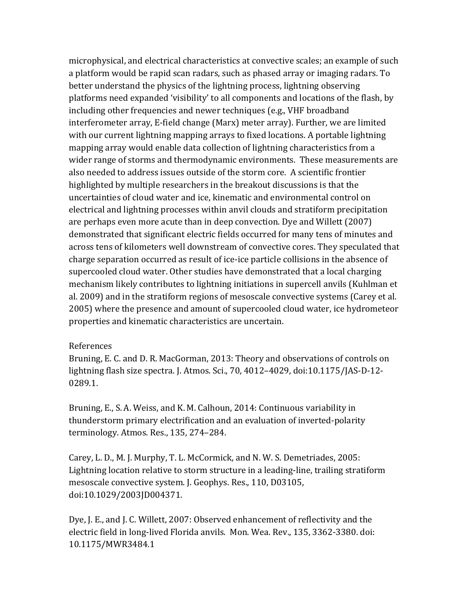microphysical, and electrical characteristics at convective scales; an example of such a platform would be rapid scan radars, such as phased array or imaging radars. To better understand the physics of the lightning process, lightning observing platforms need expanded 'visibility' to all components and locations of the flash, by including other frequencies and newer techniques (e.g., VHF broadband interferometer array, E-field change (Marx) meter array). Further, we are limited with our current lightning mapping arrays to fixed locations. A portable lightning mapping array would enable data collection of lightning characteristics from a wider range of storms and thermodynamic environments. These measurements are also needed to address issues outside of the storm core. A scientific frontier highlighted by multiple researchers in the breakout discussions is that the uncertainties of cloud water and ice, kinematic and environmental control on electrical and lightning processes within anvil clouds and stratiform precipitation are perhaps even more acute than in deep convection. Dye and Willett  $(2007)$ demonstrated that significant electric fields occurred for many tens of minutes and across tens of kilometers well downstream of convective cores. They speculated that charge separation occurred as result of ice-ice particle collisions in the absence of supercooled cloud water. Other studies have demonstrated that a local charging mechanism likely contributes to lightning initiations in supercell anvils (Kuhlman et al. 2009) and in the stratiform regions of mesoscale convective systems (Carey et al. 2005) where the presence and amount of supercooled cloud water, ice hydrometeor properties and kinematic characteristics are uncertain.

### References

Bruning, E. C. and D. R. MacGorman, 2013: Theory and observations of controls on lightning flash size spectra. J. Atmos. Sci., 70, 4012-4029, doi:10.1175/JAS-D-12-0289.1.

Bruning, E., S. A. Weiss, and K. M. Calhoun, 2014: Continuous variability in thunderstorm primary electrification and an evaluation of inverted-polarity terminology. Atmos. Res., 135, 274-284.

Carey, L. D., M. J. Murphy, T. L. McCormick, and N. W. S. Demetriades, 2005: Lightning location relative to storm structure in a leading-line, trailing stratiform mesoscale convective system. J. Geophys. Res., 110, D03105, doi:10.1029/2003JD004371.

Dye, J. E., and J. C. Willett, 2007: Observed enhancement of reflectivity and the electric field in long-lived Florida anvils. Mon. Wea. Rev., 135, 3362-3380, doi: 10.1175/MWR3484.1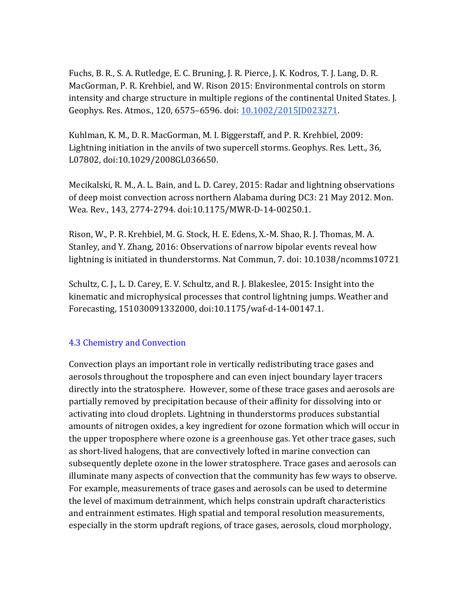Fuchs, B. R., S. A. Rutledge, E. C. Bruning, J. R. Pierce, J. K. Kodros, T. J. Lang, D. R. MacGorman, P. R. Krehbiel, and W. Rison 2015: Environmental controls on storm intensity and charge structure in multiple regions of the continental United States. J. Geophys. Res. Atmos., 120, 6575–6596. doi: 10.1002/2015JD023271.

Kuhlman, K. M., D. R. MacGorman, M. I. Biggerstaff, and P. R. Krehbiel, 2009: Lightning initiation in the anvils of two supercell storms. Geophys. Res. Lett., 36, L07802, doi:10.1029/2008GL036650.

Mecikalski, R. M., A. L. Bain, and L. D. Carey, 2015: Radar and lightning observations of deep moist convection across northern Alabama during DC3: 21 May 2012. Mon. Wea. Rev., 143, 2774-2794. doi:10.1175/MWR-D-14-00250.1.

Rison, W., P. R. Krehbiel, M. G. Stock, H. E. Edens, X.-M. Shao, R. J. Thomas, M. A. Stanley, and Y. Zhang, 2016: Observations of narrow bipolar events reveal how lightning is initiated in thunderstorms. Nat Commun, 7. doi: 10.1038/ncomms10721

Schultz, C. J., L. D. Carey, E. V. Schultz, and R. J. Blakeslee, 2015: Insight into the kinematic and microphysical processes that control lightning jumps. Weather and Forecasting, 151030091332000, doi:10.1175/waf-d-14-00147.1.

# 4.3 Chemistry and Convection

Convection plays an important role in vertically redistributing trace gases and aerosols throughout the troposphere and can even inject boundary layer tracers directly into the stratosphere. However, some of these trace gases and aerosols are partially removed by precipitation because of their affinity for dissolving into or activating into cloud droplets. Lightning in thunderstorms produces substantial amounts of nitrogen oxides, a key ingredient for ozone formation which will occur in the upper troposphere where ozone is a greenhouse gas. Yet other trace gases, such as short-lived halogens, that are convectively lofted in marine convection can subsequently deplete ozone in the lower stratosphere. Trace gases and aerosols can illuminate many aspects of convection that the community has few ways to observe. For example, measurements of trace gases and aerosols can be used to determine the level of maximum detrainment, which helps constrain updraft characteristics and entrainment estimates. High spatial and temporal resolution measurements, especially in the storm updraft regions, of trace gases, aerosols, cloud morphology,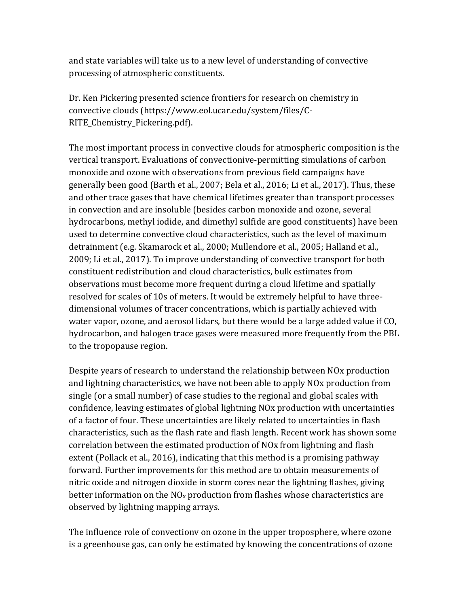and state variables will take us to a new level of understanding of convective processing of atmospheric constituents.

Dr. Ken Pickering presented science frontiers for research on chemistry in convective clouds (https://www.eol.ucar.edu/system/files/C-RITE Chemistry Pickering.pdf).

The most important process in convective clouds for atmospheric composition is the vertical transport. Evaluations of convectionive-permitting simulations of carbon monoxide and ozone with observations from previous field campaigns have generally been good (Barth et al., 2007; Bela et al., 2016; Li et al., 2017). Thus, these and other trace gases that have chemical lifetimes greater than transport processes in convection and are insoluble (besides carbon monoxide and ozone, several hydrocarbons, methyl iodide, and dimethyl sulfide are good constituents) have been used to determine convective cloud characteristics, such as the level of maximum detrainment (e.g. Skamarock et al., 2000; Mullendore et al., 2005; Halland et al., 2009; Li et al., 2017). To improve understanding of convective transport for both constituent redistribution and cloud characteristics, bulk estimates from observations must become more frequent during a cloud lifetime and spatially resolved for scales of 10s of meters. It would be extremely helpful to have threedimensional volumes of tracer concentrations, which is partially achieved with water vapor, ozone, and aerosol lidars, but there would be a large added value if CO, hydrocarbon, and halogen trace gases were measured more frequently from the PBL to the tropopause region.

Despite years of research to understand the relationship between NO<sub>x</sub> production and lightning characteristics, we have not been able to apply NOx production from single (or a small number) of case studies to the regional and global scales with confidence, leaving estimates of global lightning NOx production with uncertainties of a factor of four. These uncertainties are likely related to uncertainties in flash characteristics, such as the flash rate and flash length. Recent work has shown some correlation between the estimated production of NO<sub>x</sub> from lightning and flash extent (Pollack et al., 2016), indicating that this method is a promising pathway forward. Further improvements for this method are to obtain measurements of nitric oxide and nitrogen dioxide in storm cores near the lightning flashes, giving better information on the  $NO<sub>x</sub>$  production from flashes whose characteristics are observed by lightning mapping arrays.

The influence role of convectiony on ozone in the upper troposphere, where ozone is a greenhouse gas, can only be estimated by knowing the concentrations of ozone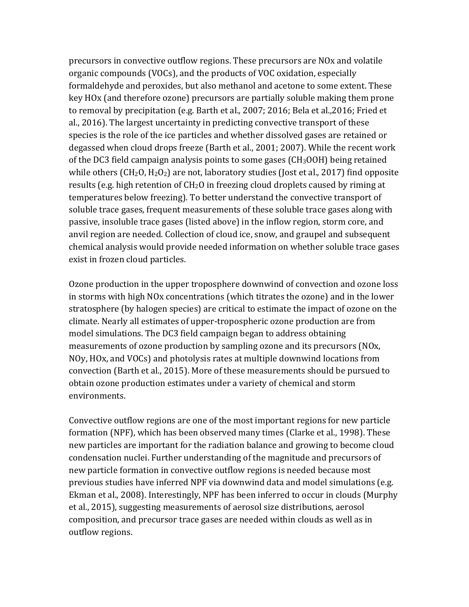precursors in convective outflow regions. These precursors are NO<sub>x</sub> and volatile organic compounds (VOCs), and the products of VOC oxidation, especially formaldehyde and peroxides, but also methanol and acetone to some extent. These key HOx (and therefore ozone) precursors are partially soluble making them prone to removal by precipitation  $(e.g.$  Barth et al., 2007; 2016; Bela et al.,2016; Fried et al., 2016). The largest uncertainty in predicting convective transport of these species is the role of the ice particles and whether dissolved gases are retained or degassed when cloud drops freeze (Barth et al., 2001; 2007). While the recent work of the DC3 field campaign analysis points to some gases (CH<sub>3</sub>OOH) being retained while others  $\rm{(CH_2O, H_2O_2)}$  are not, laboratory studies (Jost et al., 2017) find opposite results (e.g. high retention of  $CH<sub>2</sub>O$  in freezing cloud droplets caused by riming at temperatures below freezing). To better understand the convective transport of soluble trace gases, frequent measurements of these soluble trace gases along with passive, insoluble trace gases (listed above) in the inflow region, storm core, and anvil region are needed. Collection of cloud ice, snow, and graupel and subsequent chemical analysis would provide needed information on whether soluble trace gases exist in frozen cloud particles.

Ozone production in the upper troposphere downwind of convection and ozone loss in storms with high NOx concentrations (which titrates the ozone) and in the lower stratosphere (by halogen species) are critical to estimate the impact of ozone on the climate. Nearly all estimates of upper-tropospheric ozone production are from model simulations. The DC3 field campaign began to address obtaining measurements of ozone production by sampling ozone and its precursors (NOx, NOy, HOx, and VOCs) and photolysis rates at multiple downwind locations from convection (Barth et al., 2015). More of these measurements should be pursued to obtain ozone production estimates under a variety of chemical and storm environments. 

Convective outflow regions are one of the most important regions for new particle formation (NPF), which has been observed many times (Clarke et al., 1998). These new particles are important for the radiation balance and growing to become cloud condensation nuclei. Further understanding of the magnitude and precursors of new particle formation in convective outflow regions is needed because most previous studies have inferred NPF via downwind data and model simulations (e.g. Ekman et al., 2008). Interestingly, NPF has been inferred to occur in clouds (Murphy et al., 2015), suggesting measurements of aerosol size distributions, aerosol composition, and precursor trace gases are needed within clouds as well as in outflow regions.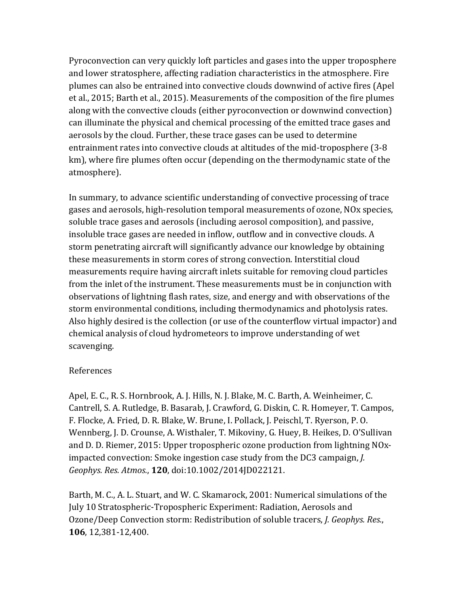Pyroconvection can very quickly loft particles and gases into the upper troposphere and lower stratosphere, affecting radiation characteristics in the atmosphere. Fire plumes can also be entrained into convective clouds downwind of active fires (Apel et al., 2015; Barth et al., 2015). Measurements of the composition of the fire plumes along with the convective clouds (either pyroconvection or downwind convection) can illuminate the physical and chemical processing of the emitted trace gases and aerosols by the cloud. Further, these trace gases can be used to determine entrainment rates into convective clouds at altitudes of the mid-troposphere (3-8 km), where fire plumes often occur (depending on the thermodynamic state of the atmosphere).

In summary, to advance scientific understanding of convective processing of trace gases and aerosols, high-resolution temporal measurements of ozone, NOx species, soluble trace gases and aerosols (including aerosol composition), and passive, insoluble trace gases are needed in inflow, outflow and in convective clouds. A storm penetrating aircraft will significantly advance our knowledge by obtaining these measurements in storm cores of strong convection. Interstitial cloud measurements require having aircraft inlets suitable for removing cloud particles from the inlet of the instrument. These measurements must be in conjunction with observations of lightning flash rates, size, and energy and with observations of the storm environmental conditions, including thermodynamics and photolysis rates. Also highly desired is the collection (or use of the counterflow virtual impactor) and chemical analysis of cloud hydrometeors to improve understanding of wet scavenging. 

## References

Apel, E. C., R. S. Hornbrook, A. J. Hills, N. J. Blake, M. C. Barth, A. Weinheimer, C. Cantrell, S. A. Rutledge, B. Basarab, J. Crawford, G. Diskin, C. R. Homeyer, T. Campos, F. Flocke, A. Fried, D. R. Blake, W. Brune, I. Pollack, J. Peischl, T. Ryerson, P. O. Wennberg, J. D. Crounse, A. Wisthaler, T. Mikoviny, G. Huey, B. Heikes, D. O'Sullivan and D. D. Riemer, 2015: Upper tropospheric ozone production from lightning NOximpacted convection: Smoke ingestion case study from the DC3 campaign, *J. Geophys. Res. Atmos.*, **120**, doi:10.1002/2014JD022121. 

Barth, M. C., A. L. Stuart, and W. C. Skamarock, 2001: Numerical simulations of the July 10 Stratospheric-Tropospheric Experiment: Radiation, Aerosols and Ozone/Deep Convection storm: Redistribution of soluble tracers, *J. Geophys. Res.*, **106**, 12,381-12,400.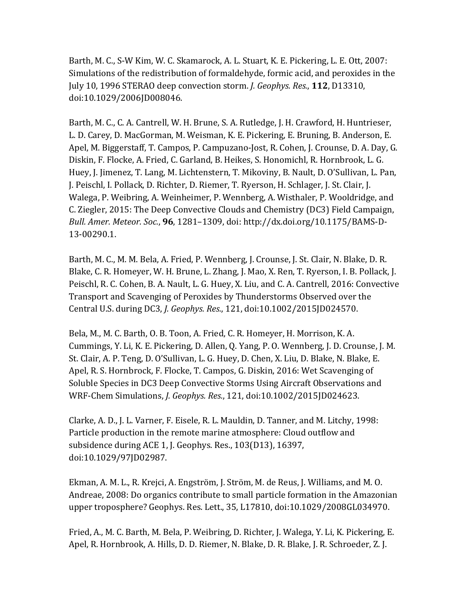Barth, M. C., S-W Kim, W. C. Skamarock, A. L. Stuart, K. E. Pickering, L. E. Ott, 2007: Simulations of the redistribution of formaldehyde, formic acid, and peroxides in the July 10, 1996 STERAO deep convection storm. *J. Geophys. Res.*, 112, D13310, doi:10.1029/2006JD008046. 

Barth, M. C., C. A. Cantrell, W. H. Brune, S. A. Rutledge, J. H. Crawford, H. Huntrieser, L. D. Carey, D. MacGorman, M. Weisman, K. E. Pickering, E. Bruning, B. Anderson, E. Apel, M. Biggerstaff, T. Campos, P. Campuzano-Jost, R. Cohen, J. Crounse, D. A. Day, G. Diskin, F. Flocke, A. Fried, C. Garland, B. Heikes, S. Honomichl, R. Hornbrook, L. G. Huey, J. Jimenez, T. Lang, M. Lichtenstern, T. Mikoviny, B. Nault, D. O'Sullivan, L. Pan, J. Peischl, I. Pollack, D. Richter, D. Riemer, T. Ryerson, H. Schlager, J. St. Clair, J. Walega, P. Weibring, A. Weinheimer, P. Wennberg, A. Wisthaler, P. Wooldridge, and C. Ziegler, 2015: The Deep Convective Clouds and Chemistry (DC3) Field Campaign, *Bull. Amer. Meteor. Soc.*, **96**, 1281–1309, doi: http://dx.doi.org/10.1175/BAMS-D-13-00290.1.

Barth, M. C., M. M. Bela, A. Fried, P. Wennberg, J. Crounse, J. St. Clair, N. Blake, D. R. Blake, C. R. Homeyer, W. H. Brune, L. Zhang, J. Mao, X. Ren, T. Ryerson, I. B. Pollack, J. Peischl, R. C. Cohen, B. A. Nault, L. G. Huey, X. Liu, and C. A. Cantrell, 2016: Convective Transport and Scavenging of Peroxides by Thunderstorms Observed over the Central U.S. during DC3, *J. Geophys. Res.*, 121, doi:10.1002/2015JD024570.

Bela, M., M. C. Barth, O. B. Toon, A. Fried, C. R. Homeyer, H. Morrison, K. A. Cummings, Y. Li, K. E. Pickering, D. Allen, Q. Yang, P. O. Wennberg, J. D. Crounse, J. M. St. Clair, A. P. Teng, D. O'Sullivan, L. G. Huey, D. Chen, X. Liu, D. Blake, N. Blake, E. Apel, R. S. Hornbrock, F. Flocke, T. Campos, G. Diskin, 2016: Wet Scavenging of Soluble Species in DC3 Deep Convective Storms Using Aircraft Observations and WRF-Chem Simulations, *J. Geophys. Res.*, 121, doi:10.1002/2015JD024623.

Clarke, A. D., J. L. Varner, F. Eisele, R. L. Mauldin, D. Tanner, and M. Litchy, 1998: Particle production in the remote marine atmosphere: Cloud outflow and subsidence during ACE 1, J. Geophys. Res., 103(D13), 16397, doi:10.1029/97JD02987. 

Ekman, A. M. L., R. Krejci, A. Engström, J. Ström, M. de Reus, J. Williams, and M. O. Andreae, 2008: Do organics contribute to small particle formation in the Amazonian upper troposphere? Geophys. Res. Lett., 35, L17810, doi:10.1029/2008GL034970.

Fried, A., M. C. Barth, M. Bela, P. Weibring, D. Richter, J. Walega, Y. Li, K. Pickering, E. Apel, R. Hornbrook, A. Hills, D. D. Riemer, N. Blake, D. R. Blake, J. R. Schroeder, Z. J.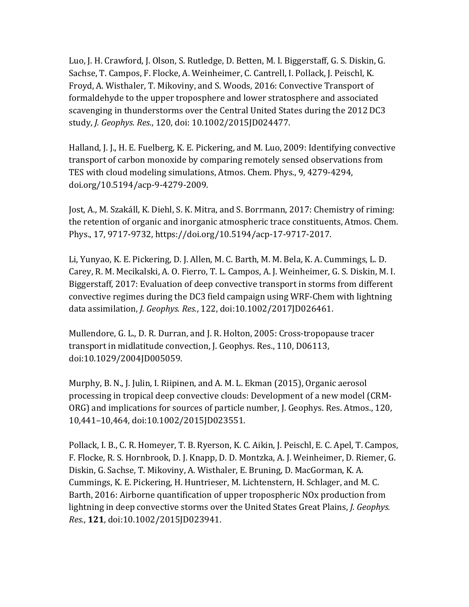Luo, J. H. Crawford, J. Olson, S. Rutledge, D. Betten, M. I. Biggerstaff, G. S. Diskin, G. Sachse, T. Campos, F. Flocke, A. Weinheimer, C. Cantrell, I. Pollack, J. Peischl, K. Froyd, A. Wisthaler, T. Mikoviny, and S. Woods, 2016: Convective Transport of formaldehyde to the upper troposphere and lower stratosphere and associated scavenging in thunderstorms over the Central United States during the 2012 DC3 study, *J. Geophys. Res.*, 120, doi: 10.1002/2015JD024477.

Halland, J. J., H. E. Fuelberg, K. E. Pickering, and M. Luo, 2009: Identifying convective transport of carbon monoxide by comparing remotely sensed observations from TES with cloud modeling simulations, Atmos. Chem. Phys., 9, 4279-4294, doi.org/10.5194/acp-9-4279-2009. 

Jost, A., M. Szakáll, K. Diehl, S. K. Mitra, and S. Borrmann, 2017: Chemistry of riming: the retention of organic and inorganic atmospheric trace constituents, Atmos. Chem. Phys., 17, 9717-9732, https://doi.org/10.5194/acp-17-9717-2017.

Li, Yunyao, K. E. Pickering, D. J. Allen, M. C. Barth, M. M. Bela, K. A. Cummings, L. D. Carey, R. M. Mecikalski, A. O. Fierro, T. L. Campos, A. J. Weinheimer, G. S. Diskin, M. I. Biggerstaff, 2017: Evaluation of deep convective transport in storms from different convective regimes during the DC3 field campaign using WRF-Chem with lightning data assimilation, *J. Geophys. Res.*, 122, doi:10.1002/2017JD026461.

Mullendore, G. L., D. R. Durran, and J. R. Holton, 2005: Cross-tropopause tracer transport in midlatitude convection, J. Geophys. Res., 110, D06113, doi:10.1029/2004JD005059.

Murphy, B. N., J. Julin, I. Riipinen, and A. M. L. Ekman (2015), Organic aerosol processing in tropical deep convective clouds: Development of a new model (CRM-ORG) and implications for sources of particle number, J. Geophys. Res. Atmos., 120, 10,441-10,464, doi:10.1002/2015JD023551.

Pollack, I. B., C. R. Homeyer, T. B. Ryerson, K. C. Aikin, J. Peischl, E. C. Apel, T. Campos, F. Flocke, R. S. Hornbrook, D. J. Knapp, D. D. Montzka, A. J. Weinheimer, D. Riemer, G. Diskin, G. Sachse, T. Mikoviny, A. Wisthaler, E. Bruning, D. MacGorman, K. A. Cummings, K. E. Pickering, H. Huntrieser, M. Lichtenstern, H. Schlager, and M. C. Barth, 2016: Airborne quantification of upper tropospheric NO<sub>x</sub> production from lightning in deep convective storms over the United States Great Plains, *J. Geophys. Res.*, **121**, doi:10.1002/2015JD023941.